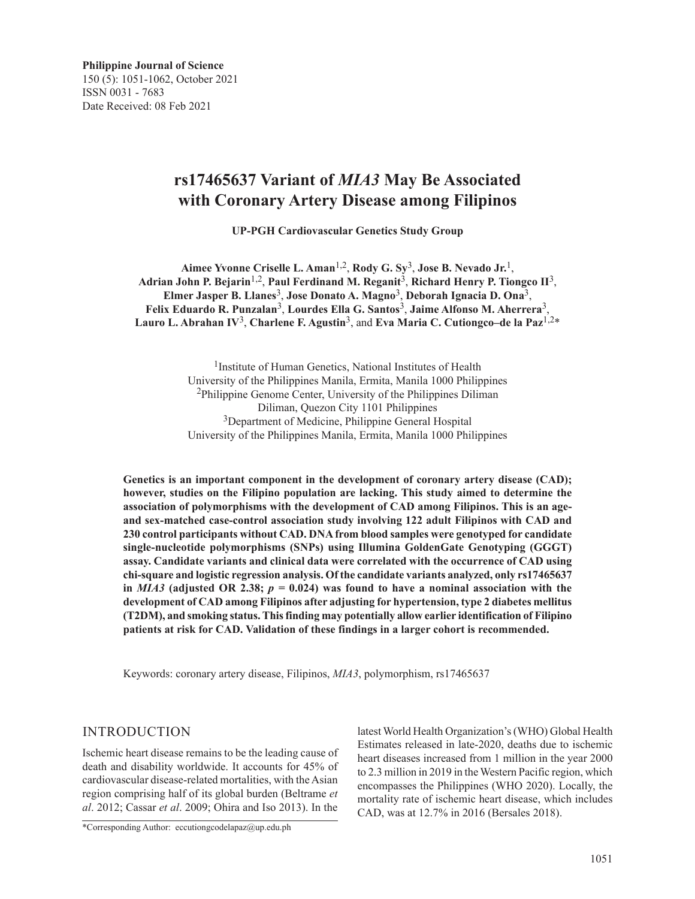**Philippine Journal of Science** 150 (5): 1051-1062, October 2021 ISSN 0031 - 7683 Date Received: 08 Feb 2021

# **rs17465637 Variant of** *MIA3* **May Be Associated with Coronary Artery Disease among Filipinos**

**UP-PGH Cardiovascular Genetics Study Group**

**Aimee Yvonne Criselle L. Aman**1,2, **Rody G. Sy**3, **Jose B. Nevado Jr.**1, **Adrian John P. Bejarin**1,2, **Paul Ferdinand M. Reganit**3, **Richard Henry P. Tiongco II**3, **Elmer Jasper B. Llanes**3, **Jose Donato A. Magno**3, **Deborah Ignacia D. Ona**3, **Felix Eduardo R. Punzalan**3, **Lourdes Ella G. Santos**3, **Jaime Alfonso M. Aherrera**3, **Lauro L. Abrahan IV**3, **Charlene F. Agustin**3, and **Eva Maria C. Cutiongco–de la Paz**1,2\*

> <sup>1</sup>Institute of Human Genetics, National Institutes of Health University of the Philippines Manila, Ermita, Manila 1000 Philippines <sup>2</sup>Philippine Genome Center, University of the Philippines Diliman Diliman, Quezon City 1101 Philippines <sup>3</sup>Department of Medicine, Philippine General Hospital University of the Philippines Manila, Ermita, Manila 1000 Philippines

**Genetics is an important component in the development of coronary artery disease (CAD); however, studies on the Filipino population are lacking. This study aimed to determine the association of polymorphisms with the development of CAD among Filipinos. This is an ageand sex-matched case-control association study involving 122 adult Filipinos with CAD and 230 control participants without CAD. DNA from blood samples were genotyped for candidate single‐nucleotide polymorphisms (SNPs) using Illumina GoldenGate Genotyping (GGGT) assay. Candidate variants and clinical data were correlated with the occurrence of CAD using chi-square and logistic regression analysis. Of the candidate variants analyzed, only rs17465637**  in  $MIA3$  (adjusted OR 2.38;  $p = 0.024$ ) was found to have a nominal association with the **development of CAD among Filipinos after adjusting for hypertension, type 2 diabetes mellitus (T2DM), and smoking status. This finding may potentially allow earlier identification of Filipino patients at risk for CAD. Validation of these findings in a larger cohort is recommended.**

Keywords: coronary artery disease, Filipinos, *MIA3*, polymorphism, rs17465637

#### INTRODUCTION

Ischemic heart disease remains to be the leading cause of death and disability worldwide. It accounts for 45% of cardiovascular disease-related mortalities, with the Asian region comprising half of its global burden (Beltrame *et al*. 2012; Cassar *et al*. 2009; Ohira and Iso 2013). In the

\*Corresponding Author: eccutiongcodelapaz@up.edu.ph

latest World Health Organization's (WHO) Global Health Estimates released in late-2020, deaths due to ischemic heart diseases increased from 1 million in the year 2000 to 2.3 million in 2019 in the Western Pacific region, which encompasses the Philippines (WHO 2020). Locally, the mortality rate of ischemic heart disease, which includes CAD, was at 12.7% in 2016 (Bersales 2018).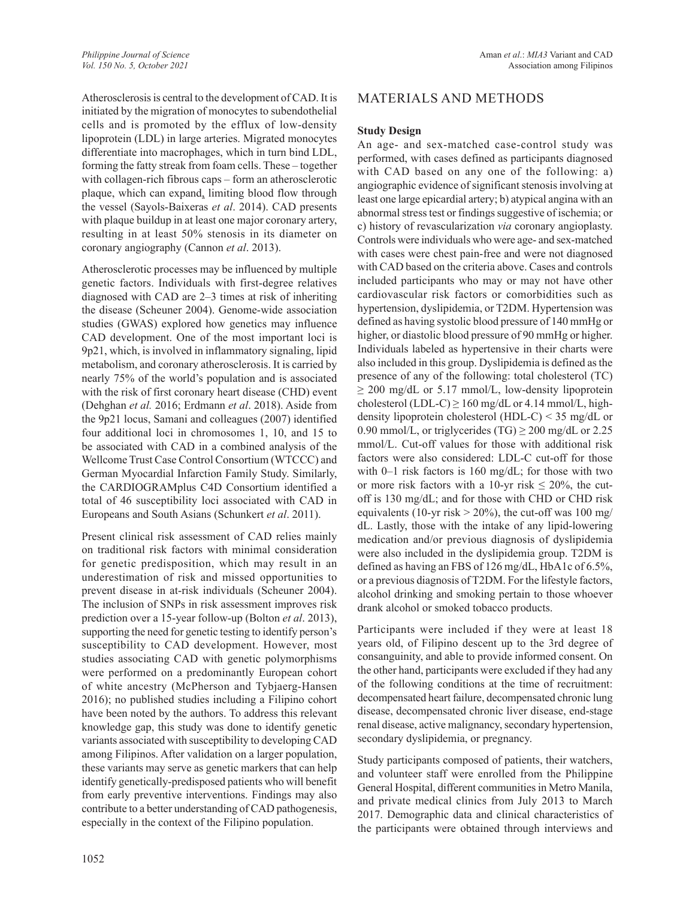Atherosclerosis is central to the development of CAD. It is initiated by the migration of monocytes to subendothelial cells and is promoted by the efflux of low-density lipoprotein (LDL) in large arteries. Migrated monocytes differentiate into macrophages, which in turn bind LDL, forming the fatty streak from foam cells. These – together with collagen-rich fibrous caps – form an atherosclerotic plaque, which can expand, limiting blood flow through the vessel (Sayols-Baixeras *et al*. 2014). CAD presents with plaque buildup in at least one major coronary artery, resulting in at least 50% stenosis in its diameter on coronary angiography (Cannon *et al*. 2013).

Atherosclerotic processes may be influenced by multiple genetic factors. Individuals with first-degree relatives diagnosed with CAD are 2–3 times at risk of inheriting the disease (Scheuner 2004). Genome-wide association studies (GWAS) explored how genetics may influence CAD development. One of the most important loci is 9p21, which, is involved in inflammatory signaling, lipid metabolism, and coronary atherosclerosis. It is carried by nearly 75% of the world's population and is associated with the risk of first coronary heart disease (CHD) event (Dehghan *et al.* 2016; Erdmann *et al*. 2018). Aside from the 9p21 locus, Samani and colleagues (2007) identified four additional loci in chromosomes 1, 10, and 15 to be associated with CAD in a combined analysis of the Wellcome Trust Case Control Consortium (WTCCC) and German Myocardial Infarction Family Study. Similarly, the CARDIOGRAMplus C4D Consortium identified a total of 46 susceptibility loci associated with CAD in Europeans and South Asians (Schunkert *et al*. 2011).

Present clinical risk assessment of CAD relies mainly on traditional risk factors with minimal consideration for genetic predisposition, which may result in an underestimation of risk and missed opportunities to prevent disease in at-risk individuals (Scheuner 2004). The inclusion of SNPs in risk assessment improves risk prediction over a 15-year follow-up (Bolton *et al*. 2013), supporting the need for genetic testing to identify person's susceptibility to CAD development. However, most studies associating CAD with genetic polymorphisms were performed on a predominantly European cohort of white ancestry (McPherson and Tybjaerg-Hansen 2016); no published studies including a Filipino cohort have been noted by the authors. To address this relevant knowledge gap, this study was done to identify genetic variants associated with susceptibility to developing CAD among Filipinos. After validation on a larger population, these variants may serve as genetic markers that can help identify genetically-predisposed patients who will benefit from early preventive interventions. Findings may also contribute to a better understanding of CAD pathogenesis, especially in the context of the Filipino population.

### MATERIALS AND METHODS

#### **Study Design**

An age- and sex-matched case-control study was performed, with cases defined as participants diagnosed with CAD based on any one of the following: a) angiographic evidence of significant stenosis involving at least one large epicardial artery; b) atypical angina with an abnormal stress test or findings suggestive of ischemia; or c) history of revascularization *via* coronary angioplasty. Controls were individuals who were age- and sex-matched with cases were chest pain-free and were not diagnosed with CAD based on the criteria above. Cases and controls included participants who may or may not have other cardiovascular risk factors or comorbidities such as hypertension, dyslipidemia, or T2DM. Hypertension was defined as having systolic blood pressure of 140 mmHg or higher, or diastolic blood pressure of 90 mmHg or higher. Individuals labeled as hypertensive in their charts were also included in this group. Dyslipidemia is defined as the presence of any of the following: total cholesterol (TC)  $\geq$  200 mg/dL or 5.17 mmol/L, low-density lipoprotein cholesterol (LDL-C)  $\geq$  160 mg/dL or 4.14 mmol/L, highdensity lipoprotein cholesterol (HDL-C) < 35 mg/dL or 0.90 mmol/L, or triglycerides (TG)  $\geq$  200 mg/dL or 2.25 mmol/L. Cut-off values for those with additional risk factors were also considered: LDL-C cut-off for those with 0–1 risk factors is 160 mg/dL; for those with two or more risk factors with a 10-yr risk  $\leq 20\%$ , the cutoff is 130 mg/dL; and for those with CHD or CHD risk equivalents (10-yr risk  $> 20\%$ ), the cut-off was 100 mg/ dL. Lastly, those with the intake of any lipid-lowering medication and/or previous diagnosis of dyslipidemia were also included in the dyslipidemia group. T2DM is defined as having an FBS of 126 mg/dL, HbA1c of 6.5%, or a previous diagnosis of T2DM. For the lifestyle factors, alcohol drinking and smoking pertain to those whoever drank alcohol or smoked tobacco products.

Participants were included if they were at least 18 years old, of Filipino descent up to the 3rd degree of consanguinity, and able to provide informed consent. On the other hand, participants were excluded if they had any of the following conditions at the time of recruitment: decompensated heart failure, decompensated chronic lung disease, decompensated chronic liver disease, end-stage renal disease, active malignancy, secondary hypertension, secondary dyslipidemia, or pregnancy.

Study participants composed of patients, their watchers, and volunteer staff were enrolled from the Philippine General Hospital, different communities in Metro Manila, and private medical clinics from July 2013 to March 2017. Demographic data and clinical characteristics of the participants were obtained through interviews and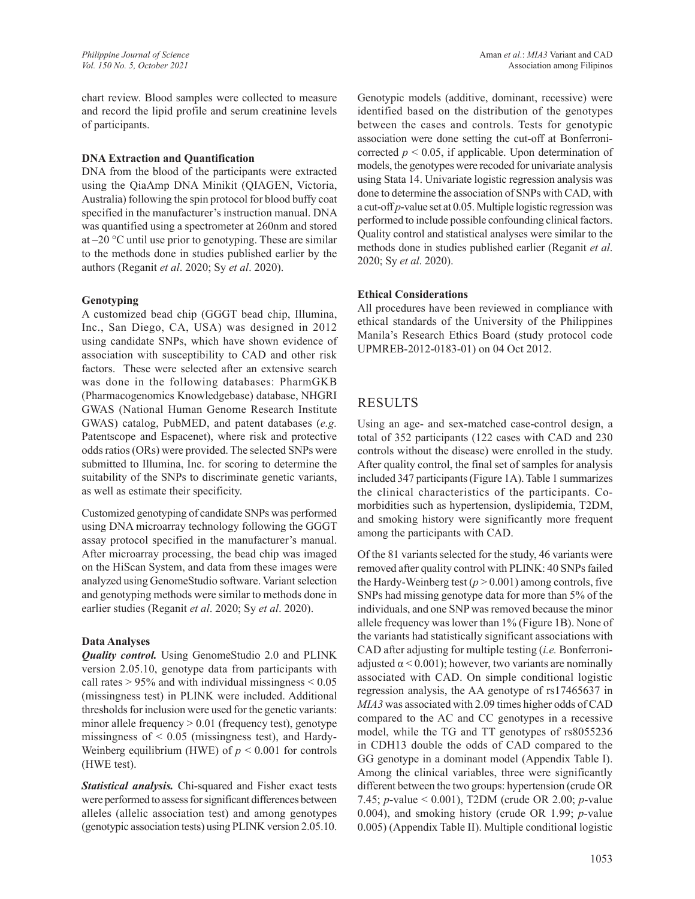chart review. Blood samples were collected to measure and record the lipid profile and serum creatinine levels of participants.

#### **DNA Extraction and Quantification**

DNA from the blood of the participants were extracted using the QiaAmp DNA Minikit (QIAGEN, Victoria, Australia) following the spin protocol for blood buffy coat specified in the manufacturer's instruction manual. DNA was quantified using a spectrometer at 260nm and stored at –20 °C until use prior to genotyping. These are similar to the methods done in studies published earlier by the authors (Reganit *et al*. 2020; Sy *et al*. 2020).

#### **Genotyping**

A customized bead chip (GGGT bead chip, Illumina, Inc., San Diego, CA, USA) was designed in 2012 using candidate SNPs, which have shown evidence of association with susceptibility to CAD and other risk factors. These were selected after an extensive search was done in the following databases: PharmGKB (Pharmacogenomics Knowledgebase) database, NHGRI GWAS (National Human Genome Research Institute GWAS) catalog, PubMED, and patent databases (*e.g.* Patentscope and Espacenet), where risk and protective odds ratios (ORs) were provided. The selected SNPs were submitted to Illumina, Inc. for scoring to determine the suitability of the SNPs to discriminate genetic variants, as well as estimate their specificity.

Customized genotyping of candidate SNPs was performed using DNA microarray technology following the GGGT assay protocol specified in the manufacturer's manual. After microarray processing, the bead chip was imaged on the HiScan System, and data from these images were analyzed using GenomeStudio software. Variant selection and genotyping methods were similar to methods done in earlier studies (Reganit *et al*. 2020; Sy *et al*. 2020).

#### **Data Analyses**

*Quality control.* Using GenomeStudio 2.0 and PLINK version 2.05.10, genotype data from participants with call rates  $> 95\%$  and with individual missingness  $< 0.05$ (missingness test) in PLINK were included. Additional thresholds for inclusion were used for the genetic variants: minor allele frequency  $> 0.01$  (frequency test), genotype missingness of  $< 0.05$  (missingness test), and Hardy-Weinberg equilibrium (HWE) of  $p < 0.001$  for controls (HWE test).

*Statistical analysis.* Chi-squared and Fisher exact tests were performed to assess for significant differences between alleles (allelic association test) and among genotypes (genotypic association tests) using PLINK version 2.05.10. Genotypic models (additive, dominant, recessive) were identified based on the distribution of the genotypes between the cases and controls. Tests for genotypic association were done setting the cut-off at Bonferronicorrected  $p < 0.05$ , if applicable. Upon determination of models, the genotypes were recoded for univariate analysis using Stata 14. Univariate logistic regression analysis was done to determine the association of SNPs with CAD, with a cut-off *p*-value set at 0.05. Multiple logistic regression was performed to include possible confounding clinical factors. Quality control and statistical analyses were similar to the methods done in studies published earlier (Reganit *et al*. 2020; Sy *et al*. 2020).

#### **Ethical Considerations**

All procedures have been reviewed in compliance with ethical standards of the University of the Philippines Manila's Research Ethics Board (study protocol code UPMREB-2012-0183-01) on 04 Oct 2012.

## RESULTS

Using an age- and sex-matched case-control design, a total of 352 participants (122 cases with CAD and 230 controls without the disease) were enrolled in the study. After quality control, the final set of samples for analysis included 347 participants (Figure 1A). Table 1 summarizes the clinical characteristics of the participants. Comorbidities such as hypertension, dyslipidemia, T2DM, and smoking history were significantly more frequent among the participants with CAD.

Of the 81 variants selected for the study, 46 variants were removed after quality control with PLINK: 40 SNPs failed the Hardy-Weinberg test  $(p > 0.001)$  among controls, five SNPs had missing genotype data for more than 5% of the individuals, and one SNP was removed because the minor allele frequency was lower than 1% (Figure 1B). None of the variants had statistically significant associations with CAD after adjusting for multiple testing (*i.e.* Bonferroniadjusted  $\alpha$  < 0.001); however, two variants are nominally associated with CAD. On simple conditional logistic regression analysis, the AA genotype of rs17465637 in *MIA3* was associated with 2.09 times higher odds of CAD compared to the AC and CC genotypes in a recessive model, while the TG and TT genotypes of rs8055236 in CDH13 double the odds of CAD compared to the GG genotype in a dominant model (Appendix Table I). Among the clinical variables, three were significantly different between the two groups: hypertension (crude OR 7.45; *p*-value < 0.001), T2DM (crude OR 2.00; *p*-value 0.004), and smoking history (crude OR 1.99; *p*-value 0.005) (Appendix Table II). Multiple conditional logistic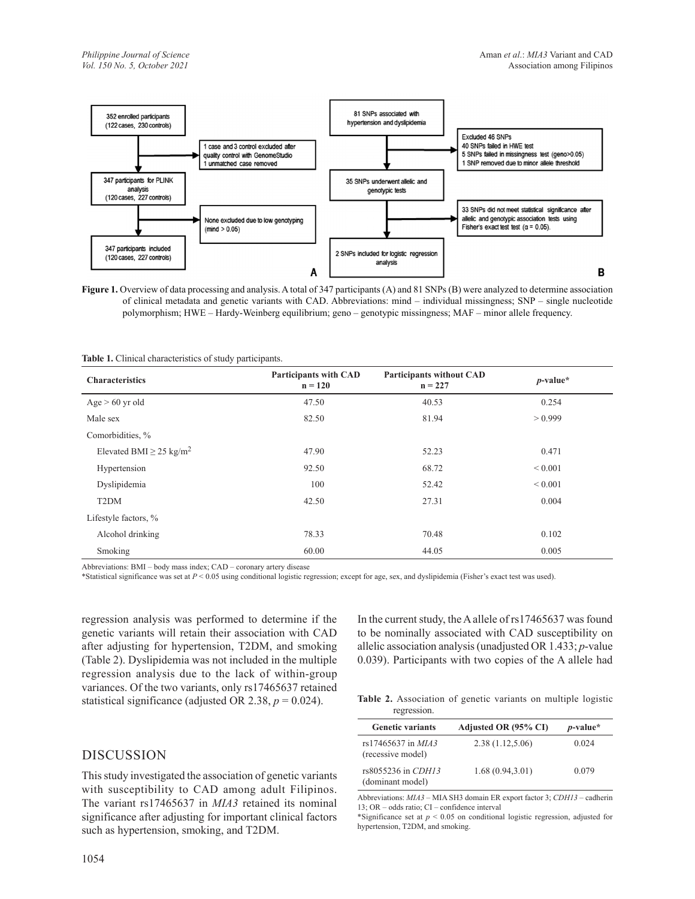

**Figure 1.** Overview of data processing and analysis. A total of 347 participants (A) and 81 SNPs (B) were analyzed to determine association of clinical metadata and genetic variants with CAD. Abbreviations: mind – individual missingness; SNP – single nucleotide polymorphism; HWE – Hardy-Weinberg equilibrium; geno – genotypic missingness; MAF – minor allele frequency.

| Table 1. Clinical characteristics of study participants. |  |  |  |
|----------------------------------------------------------|--|--|--|
|----------------------------------------------------------|--|--|--|

| <b>Characteristics</b>                   | <b>Participants with CAD</b><br>$n = 120$ | <b>Participants without CAD</b><br>$n = 227$ | $p$ -value*  |
|------------------------------------------|-------------------------------------------|----------------------------------------------|--------------|
| $Age > 60$ yr old                        | 47.50                                     | 40.53                                        | 0.254        |
| Male sex                                 | 82.50                                     | 81.94                                        | > 0.999      |
| Comorbidities, %                         |                                           |                                              |              |
| Elevated BMI $\geq$ 25 kg/m <sup>2</sup> | 47.90                                     | 52.23                                        | 0.471        |
| Hypertension                             | 92.50                                     | 68.72                                        | ${}< 0.001$  |
| Dyslipidemia                             | 100                                       | 52.42                                        | ${}_{0.001}$ |
| T <sub>2</sub> DM                        | 42.50                                     | 27.31                                        | 0.004        |
| Lifestyle factors, %                     |                                           |                                              |              |
| Alcohol drinking                         | 78.33                                     | 70.48                                        | 0.102        |
| Smoking                                  | 60.00                                     | 44.05                                        | 0.005        |

Abbreviations: BMI – body mass index; CAD – coronary artery disease

\*Statistical significance was set at *P* < 0.05 using conditional logistic regression; except for age, sex, and dyslipidemia (Fisher's exact test was used).

regression analysis was performed to determine if the genetic variants will retain their association with CAD after adjusting for hypertension, T2DM, and smoking (Table 2). Dyslipidemia was not included in the multiple regression analysis due to the lack of within-group variances. Of the two variants, only rs17465637 retained statistical significance (adjusted OR 2.38,  $p = 0.024$ ).

#### DISCUSSION

This study investigated the association of genetic variants with susceptibility to CAD among adult Filipinos. The variant rs17465637 in *MIA3* retained its nominal significance after adjusting for important clinical factors such as hypertension, smoking, and T2DM.

In the current study, the A allele of rs17465637 was found to be nominally associated with CAD susceptibility on allelic association analysis (unadjusted OR 1.433; *p*-value 0.039). Participants with two copies of the A allele had

**Table 2.** Association of genetic variants on multiple logistic regression.

| <b>Genetic variants</b>                        | Adjusted OR (95% CI) | $p$ -value* |  |
|------------------------------------------------|----------------------|-------------|--|
| rs17465637 in <i>MIA3</i><br>(recessive model) | 2.38(1.12, 5.06)     | 0.024       |  |
| rs8055236 in CDH13<br>(dominant model)         | 1.68(0.94, 3.01)     | 0.079       |  |

Abbreviations: *MIA3* – MIA SH3 domain ER export factor 3; *CDH13* – cadherin 13; OR – odds ratio; CI – confidence interval

\*Significance set at *p* < 0.05 on conditional logistic regression, adjusted for hypertension, T2DM, and smoking.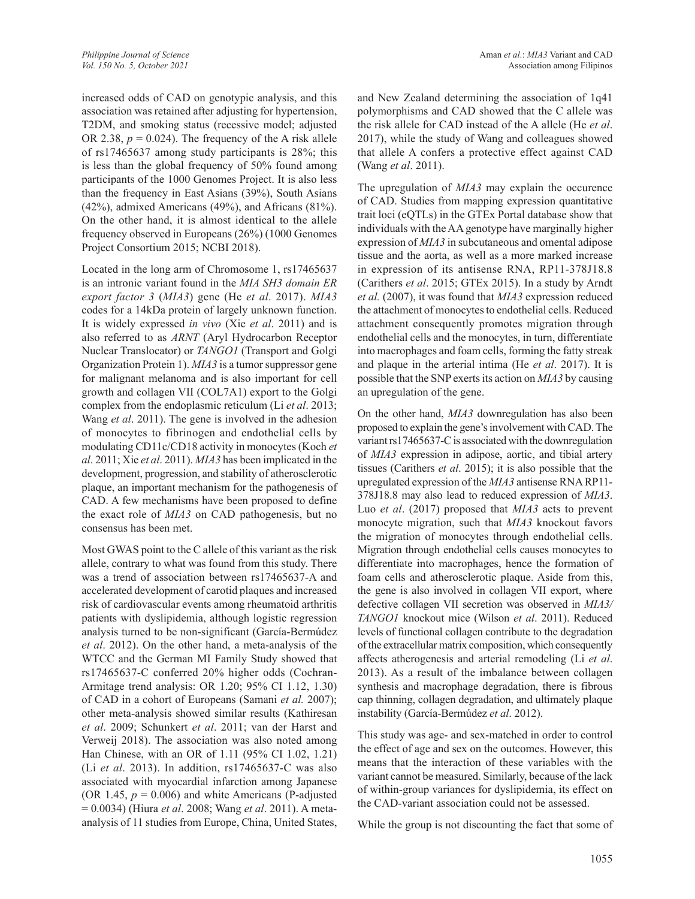increased odds of CAD on genotypic analysis, and this association was retained after adjusting for hypertension, T2DM, and smoking status (recessive model; adjusted OR 2.38,  $p = 0.024$ ). The frequency of the A risk allele of rs17465637 among study participants is 28%; this is less than the global frequency of 50% found among participants of the 1000 Genomes Project. It is also less than the frequency in East Asians (39%), South Asians (42%), admixed Americans (49%), and Africans (81%). On the other hand, it is almost identical to the allele frequency observed in Europeans (26%) (1000 Genomes Project Consortium 2015; NCBI 2018).

Located in the long arm of Chromosome 1, rs17465637 is an intronic variant found in the *MIA SH3 domain ER export factor 3* (*MIA3*) gene (He *et al*. 2017). *MIA3*  codes for a 14kDa protein of largely unknown function. It is widely expressed *in vivo* (Xie *et al*. 2011) and is also referred to as *ARNT* (Aryl Hydrocarbon Receptor Nuclear Translocator) or *TANGO1* (Transport and Golgi Organization Protein 1). *MIA3* is a tumor suppressor gene for malignant melanoma and is also important for cell growth and collagen VII (COL7A1) export to the Golgi complex from the endoplasmic reticulum (Li *et al*. 2013; Wang *et al*. 2011). The gene is involved in the adhesion of monocytes to fibrinogen and endothelial cells by modulating CD11c/CD18 activity in monocytes (Koch *et al*. 2011; Xie *et al*. 2011). *MIA3* has been implicated in the development, progression, and stability of atherosclerotic plaque, an important mechanism for the pathogenesis of CAD. A few mechanisms have been proposed to define the exact role of *MIA3* on CAD pathogenesis, but no consensus has been met.

Most GWAS point to the C allele of this variant as the risk allele, contrary to what was found from this study. There was a trend of association between rs17465637-A and accelerated development of carotid plaques and increased risk of cardiovascular events among rheumatoid arthritis patients with dyslipidemia, although logistic regression analysis turned to be non-significant (García-Bermúdez *et al*. 2012). On the other hand, a meta-analysis of the WTCC and the German MI Family Study showed that rs17465637-C conferred 20% higher odds (Cochran-Armitage trend analysis: OR 1.20; 95% CI 1.12, 1.30) of CAD in a cohort of Europeans (Samani *et al.* 2007); other meta-analysis showed similar results (Kathiresan *et al*. 2009; Schunkert *et al*. 2011; van der Harst and Verweij 2018). The association was also noted among Han Chinese, with an OR of 1.11 (95% CI 1.02, 1.21) (Li *et al*. 2013). In addition, rs17465637-C was also associated with myocardial infarction among Japanese (OR 1.45,  $p = 0.006$ ) and white Americans (P-adjusted = 0.0034) (Hiura *et al*. 2008; Wang *et al*. 2011). A metaanalysis of 11 studies from Europe, China, United States, and New Zealand determining the association of 1q41 polymorphisms and CAD showed that the C allele was the risk allele for CAD instead of the A allele (He *et al*. 2017), while the study of Wang and colleagues showed that allele A confers a protective effect against CAD (Wang *et al*. 2011).

The upregulation of *MIA3* may explain the occurence of CAD. Studies from mapping expression quantitative trait loci (eQTLs) in the GTEx Portal database show that individuals with the AA genotype have marginally higher expression of *MIA3* in subcutaneous and omental adipose tissue and the aorta, as well as a more marked increase in expression of its antisense RNA, RP11-378J18.8 (Carithers *et al*. 2015; GTEx 2015). In a study by Arndt *et al.* (2007), it was found that *MIA3* expression reduced the attachment of monocytes to endothelial cells. Reduced attachment consequently promotes migration through endothelial cells and the monocytes, in turn, differentiate into macrophages and foam cells, forming the fatty streak and plaque in the arterial intima (He *et al*. 2017). It is possible that the SNP exerts its action on *MIA3* by causing an upregulation of the gene.

On the other hand, *MIA3* downregulation has also been proposed to explain the gene's involvement with CAD. The variant rs17465637-C is associated with the downregulation of *MIA3* expression in adipose, aortic, and tibial artery tissues (Carithers *et al*. 2015); it is also possible that the upregulated expression of the *MIA3* antisense RNA RP11- 378J18.8 may also lead to reduced expression of *MIA3*. Luo *et al*. (2017) proposed that *MIA3* acts to prevent monocyte migration, such that *MIA3* knockout favors the migration of monocytes through endothelial cells. Migration through endothelial cells causes monocytes to differentiate into macrophages, hence the formation of foam cells and atherosclerotic plaque. Aside from this, the gene is also involved in collagen VII export, where defective collagen VII secretion was observed in *MIA3/ TANGO1* knockout mice (Wilson *et al*. 2011). Reduced levels of functional collagen contribute to the degradation of the extracellular matrix composition, which consequently affects atherogenesis and arterial remodeling (Li *et al*. 2013). As a result of the imbalance between collagen synthesis and macrophage degradation, there is fibrous cap thinning, collagen degradation, and ultimately plaque instability (García-Bermúdez *et al*. 2012).

This study was age- and sex-matched in order to control the effect of age and sex on the outcomes. However, this means that the interaction of these variables with the variant cannot be measured. Similarly, because of the lack of within-group variances for dyslipidemia, its effect on the CAD-variant association could not be assessed.

While the group is not discounting the fact that some of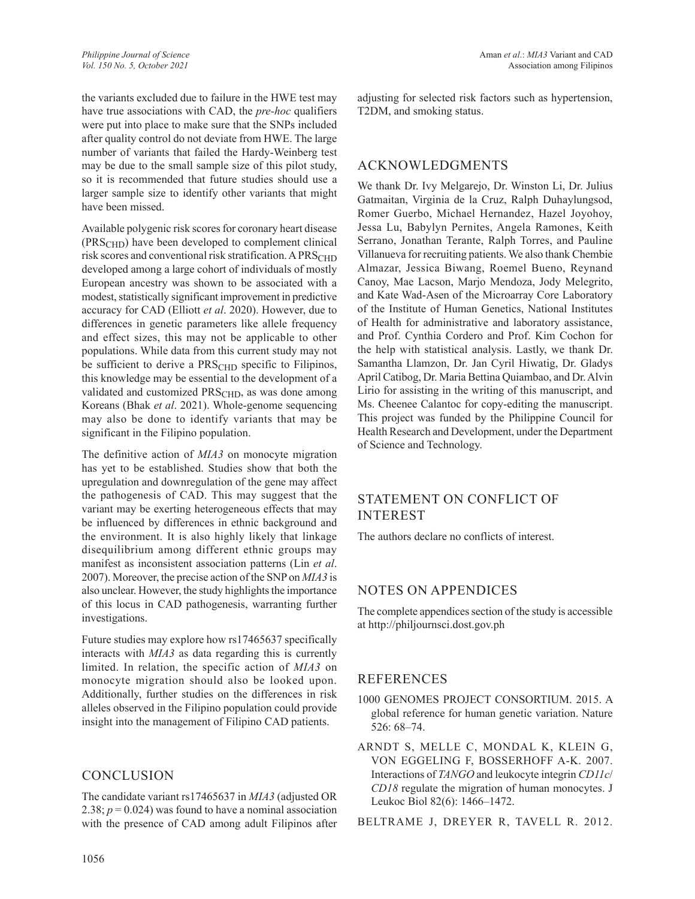the variants excluded due to failure in the HWE test may have true associations with CAD, the *pre-hoc* qualifiers were put into place to make sure that the SNPs included after quality control do not deviate from HWE. The large number of variants that failed the Hardy-Weinberg test may be due to the small sample size of this pilot study, so it is recommended that future studies should use a larger sample size to identify other variants that might have been missed.

Available polygenic risk scores for coronary heart disease  $(PRS<sub>CHD</sub>)$  have been developed to complement clinical risk scores and conventional risk stratification. A PRS<sub>CHD</sub> developed among a large cohort of individuals of mostly European ancestry was shown to be associated with a modest, statistically significant improvement in predictive accuracy for CAD (Elliott *et al*. 2020). However, due to differences in genetic parameters like allele frequency and effect sizes, this may not be applicable to other populations. While data from this current study may not be sufficient to derive a  $PRS_{CHD}$  specific to Filipinos, this knowledge may be essential to the development of a validated and customized  $PRS<sub>CHD</sub>$ , as was done among Koreans (Bhak *et al*. 2021). Whole-genome sequencing may also be done to identify variants that may be significant in the Filipino population.

The definitive action of *MIA3* on monocyte migration has yet to be established. Studies show that both the upregulation and downregulation of the gene may affect the pathogenesis of CAD. This may suggest that the variant may be exerting heterogeneous effects that may be influenced by differences in ethnic background and the environment. It is also highly likely that linkage disequilibrium among different ethnic groups may manifest as inconsistent association patterns (Lin *et al*. 2007). Moreover, the precise action of the SNP on *MIA3* is also unclear. However, the study highlights the importance of this locus in CAD pathogenesis, warranting further investigations.

Future studies may explore how rs17465637 specifically interacts with *MIA3* as data regarding this is currently limited. In relation, the specific action of *MIA3* on monocyte migration should also be looked upon. Additionally, further studies on the differences in risk alleles observed in the Filipino population could provide insight into the management of Filipino CAD patients.

### **CONCLUSION**

The candidate variant rs17465637 in *MIA3* (adjusted OR 2.38;  $p = 0.024$ ) was found to have a nominal association with the presence of CAD among adult Filipinos after adjusting for selected risk factors such as hypertension, T2DM, and smoking status.

## ACKNOWLEDGMENTS

We thank Dr. Ivy Melgarejo, Dr. Winston Li, Dr. Julius Gatmaitan, Virginia de la Cruz, Ralph Duhaylungsod, Romer Guerbo, Michael Hernandez, Hazel Joyohoy, Jessa Lu, Babylyn Pernites, Angela Ramones, Keith Serrano, Jonathan Terante, Ralph Torres, and Pauline Villanueva for recruiting patients. We also thank Chembie Almazar, Jessica Biwang, Roemel Bueno, Reynand Canoy, Mae Lacson, Marjo Mendoza, Jody Melegrito, and Kate Wad-Asen of the Microarray Core Laboratory of the Institute of Human Genetics, National Institutes of Health for administrative and laboratory assistance, and Prof. Cynthia Cordero and Prof. Kim Cochon for the help with statistical analysis. Lastly, we thank Dr. Samantha Llamzon, Dr. Jan Cyril Hiwatig, Dr. Gladys April Catibog, Dr. Maria Bettina Quiambao, and Dr. Alvin Lirio for assisting in the writing of this manuscript, and Ms. Cheenee Calantoc for copy-editing the manuscript. This project was funded by the Philippine Council for Health Research and Development, under the Department of Science and Technology.

## STATEMENT ON CONFLICT OF INTEREST

The authors declare no conflicts of interest.

#### NOTES ON APPENDICES

The complete appendices section of the study is accessible at http://philjournsci.dost.gov.ph

#### REFERENCES

- 1000 GENOMES PROJECT CONSORTIUM. 2015. A global reference for human genetic variation. Nature 526: 68–74.
- ARNDT S, MELLE C, MONDAL K, KLEIN G, VON EGGELING F, BOSSERHOFF A-K. 2007. Interactions of *TANGO* and leukocyte integrin *CD11c*/ *CD18* regulate the migration of human monocytes. J Leukoc Biol 82(6): 1466–1472.
- BELTRAME J, DREYER R, TAVELL R. 2012.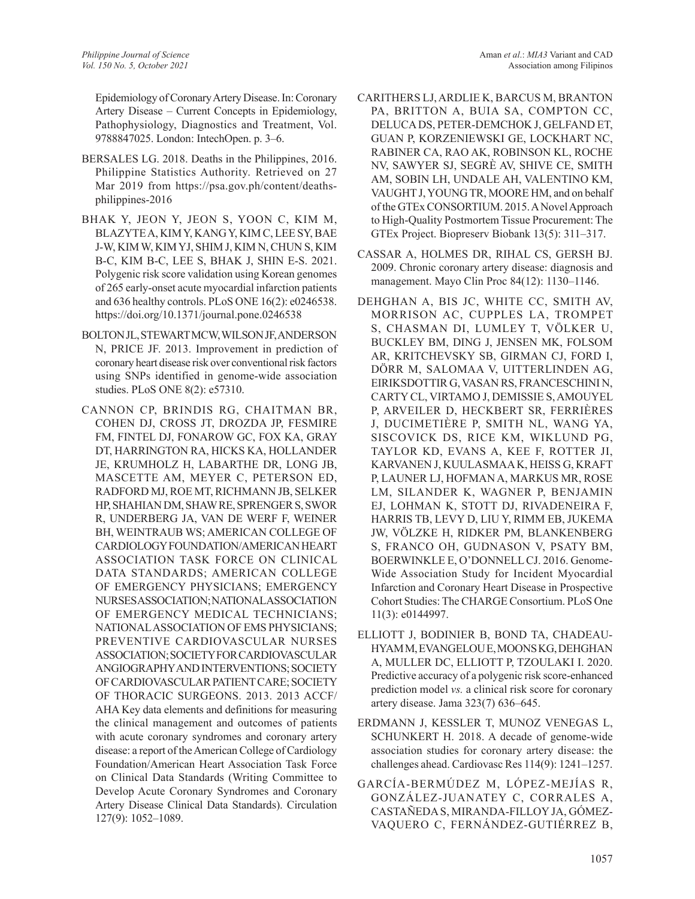Epidemiology of Coronary Artery Disease. In: Coronary Artery Disease – Current Concepts in Epidemiology, Pathophysiology, Diagnostics and Treatment, Vol. 9788847025. London: IntechOpen. p. 3–6.

- BERSALES LG. 2018. Deaths in the Philippines, 2016. Philippine Statistics Authority. Retrieved on 27 Mar 2019 from https://psa.gov.ph/content/deathsphilippines-2016
- BHAK Y, JEON Y, JEON S, YOON C, KIM M, BLAZYTE A, KIM Y, KANG Y, KIM C, LEE SY, BAE J-W, KIM W, KIM YJ, SHIM J, KIM N, CHUN S, KIM B-C, KIM B-C, LEE S, BHAK J, SHIN E-S. 2021. Polygenic risk score validation using Korean genomes of 265 early-onset acute myocardial infarction patients and 636 healthy controls. PLoS ONE 16(2): e0246538. https://doi.org/10.1371/journal.pone.0246538
- BOLTON JL, STEWART MCW, WILSON JF, ANDERSON N, PRICE JF. 2013. Improvement in prediction of coronary heart disease risk over conventional risk factors using SNPs identified in genome-wide association studies. PLoS ONE 8(2): e57310.
- CANNON CP, BRINDIS RG, CHAITMAN BR, COHEN DJ, CROSS JT, DROZDA JP, FESMIRE FM, FINTEL DJ, FONAROW GC, FOX KA, GRAY DT, HARRINGTON RA, HICKS KA, HOLLANDER JE, KRUMHOLZ H, LABARTHE DR, LONG JB, MASCETTE AM, MEYER C, PETERSON ED, RADFORD MJ, ROE MT, RICHMANN JB, SELKER HP, SHAHIAN DM, SHAW RE, SPRENGER S, SWOR R, UNDERBERG JA, VAN DE WERF F, WEINER BH, WEINTRAUB WS; AMERICAN COLLEGE OF CARDIOLOGY FOUNDATION/AMERICAN HEART ASSOCIATION TASK FORCE ON CLINICAL DATA STANDARDS; AMERICAN COLLEGE OF EMERGENCY PHYSICIANS; EMERGENCY NURSES ASSOCIATION; NATIONAL ASSOCIATION OF EMERGENCY MEDICAL TECHNICIANS; NATIONAL ASSOCIATION OF EMS PHYSICIANS; PREVENTIVE CARDIOVASCULAR NURSES ASSOCIATION; SOCIETY FOR CARDIOVASCULAR ANGIOGRAPHY AND INTERVENTIONS; SOCIETY OF CARDIOVASCULAR PATIENT CARE; SOCIETY OF THORACIC SURGEONS. 2013. 2013 ACCF/ AHA Key data elements and definitions for measuring the clinical management and outcomes of patients with acute coronary syndromes and coronary artery disease: a report of the American College of Cardiology Foundation/American Heart Association Task Force on Clinical Data Standards (Writing Committee to Develop Acute Coronary Syndromes and Coronary Artery Disease Clinical Data Standards). Circulation 127(9): 1052–1089.
- CARITHERS LJ, ARDLIE K, BARCUS M, BRANTON PA, BRITTON A, BUIA SA, COMPTON CC, DELUCA DS, PETER-DEMCHOK J, GELFAND ET, GUAN P, KORZENIEWSKI GE, LOCKHART NC, RABINER CA, RAO AK, ROBINSON KL, ROCHE NV, SAWYER SJ, SEGRÈ AV, SHIVE CE, SMITH AM, SOBIN LH, UNDALE AH, VALENTINO KM, VAUGHT J, YOUNG TR, MOORE HM, and on behalf of the GTEx CONSORTIUM. 2015. A Novel Approach to High-Quality Postmortem Tissue Procurement: The GTEx Project. Biopreserv Biobank 13(5): 311–317.
- CASSAR A, HOLMES DR, RIHAL CS, GERSH BJ. 2009. Chronic coronary artery disease: diagnosis and management. Mayo Clin Proc 84(12): 1130–1146.
- DEHGHAN A, BIS JC, WHITE CC, SMITH AV, MORRISON AC, CUPPLES LA, TROMPET S, CHASMAN DI, LUMLEY T, VÖLKER U, BUCKLEY BM, DING J, JENSEN MK, FOLSOM AR, KRITCHEVSKY SB, GIRMAN CJ, FORD I, DÖRR M, SALOMAA V, UITTERLINDEN AG, EIRIKSDOTTIR G, VASAN RS, FRANCESCHINI N, CARTY CL, VIRTAMO J, DEMISSIE S, AMOUYEL P, ARVEILER D, HECKBERT SR, FERRIÈRES J, DUCIMETIÈRE P, SMITH NL, WANG YA, SISCOVICK DS, RICE KM, WIKLUND PG, TAYLOR KD, EVANS A, KEE F, ROTTER JI, KARVANEN J, KUULASMAA K, HEISS G, KRAFT P, LAUNER LJ, HOFMAN A, MARKUS MR, ROSE LM, SILANDER K, WAGNER P, BENJAMIN EJ, LOHMAN K, STOTT DJ, RIVADENEIRA F, HARRIS TB, LEVY D, LIU Y, RIMM EB, JUKEMA JW, VÖLZKE H, RIDKER PM, BLANKENBERG S, FRANCO OH, GUDNASON V, PSATY BM, BOERWINKLE E, O'DONNELL CJ. 2016. Genome-Wide Association Study for Incident Myocardial Infarction and Coronary Heart Disease in Prospective Cohort Studies: The CHARGE Consortium. PLoS One 11(3): e0144997.
- ELLIOTT J, BODINIER B, BOND TA, CHADEAU-HYAM M, EVANGELOU E, MOONS KG, DEHGHAN A, MULLER DC, ELLIOTT P, TZOULAKI I. 2020. Predictive accuracy of a polygenic risk score-enhanced prediction model *vs.* a clinical risk score for coronary artery disease. Jama 323(7) 636–645.
- ERDMANN J, KESSLER T, MUNOZ VENEGAS L, SCHUNKERT H. 2018. A decade of genome-wide association studies for coronary artery disease: the challenges ahead. Cardiovasc Res 114(9): 1241–1257.
- GARCÍA-BERMÚDEZ M, LÓPEZ-MEJÍAS R, GONZÁLEZ-JUANATEY C, CORRALES A, CASTAÑEDA S, MIRANDA-FILLOY JA, GÓMEZ-VAQUERO C, FERNÁNDEZ-GUTIÉRREZ B,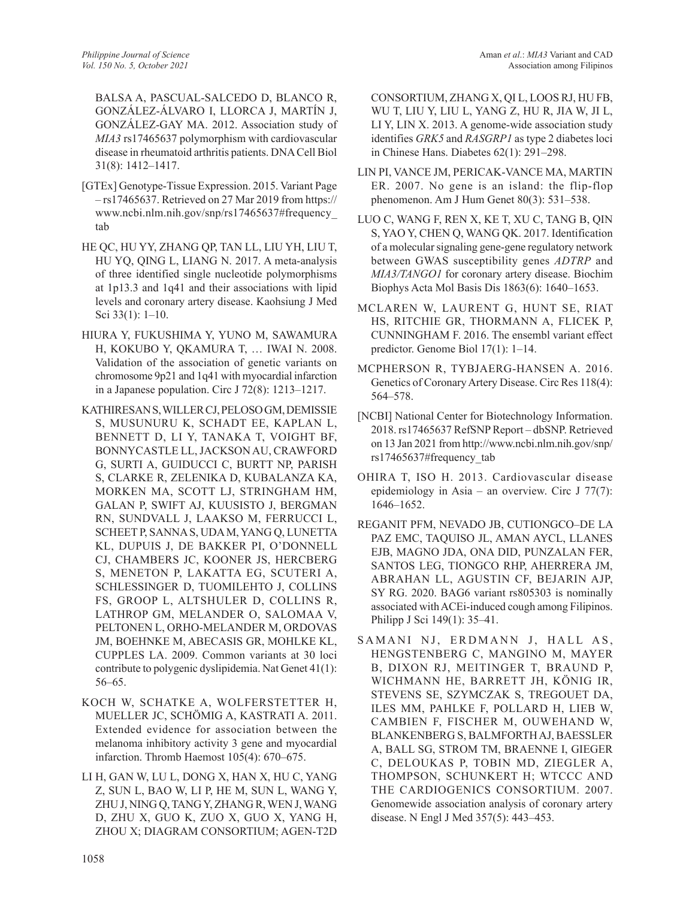BALSA A, PASCUAL-SALCEDO D, BLANCO R, GONZÁLEZ-ÁLVARO I, LLORCA J, MARTÍN J, GONZÁLEZ-GAY MA. 2012. Association study of *MIA3* rs17465637 polymorphism with cardiovascular disease in rheumatoid arthritis patients. DNA Cell Biol 31(8): 1412–1417.

- [GTEx] Genotype-Tissue Expression. 2015. Variant Page – rs17465637. Retrieved on 27 Mar 2019 from https:// www.ncbi.nlm.nih.gov/snp/rs17465637#frequency\_ tab
- HE QC, HU YY, ZHANG QP, TAN LL, LIU YH, LIU T, HU YQ, QING L, LIANG N. 2017. A meta-analysis of three identified single nucleotide polymorphisms at 1p13.3 and 1q41 and their associations with lipid levels and coronary artery disease. Kaohsiung J Med Sci 33(1): 1–10.
- HIURA Y, FUKUSHIMA Y, YUNO M, SAWAMURA H, KOKUBO Y, QKAMURA T, … IWAI N. 2008. Validation of the association of genetic variants on chromosome 9p21 and 1q41 with myocardial infarction in a Japanese population. Circ J 72(8): 1213–1217.
- KATHIRESAN S, WILLER CJ, PELOSO GM, DEMISSIE S, MUSUNURU K, SCHADT EE, KAPLAN L, BENNETT D, LI Y, TANAKA T, VOIGHT BF, BONNYCASTLE LL, JACKSON AU, CRAWFORD G, SURTI A, GUIDUCCI C, BURTT NP, PARISH S, CLARKE R, ZELENIKA D, KUBALANZA KA, MORKEN MA, SCOTT LJ, STRINGHAM HM, GALAN P, SWIFT AJ, KUUSISTO J, BERGMAN RN, SUNDVALL J, LAAKSO M, FERRUCCI L, SCHEET P, SANNA S, UDA M, YANG Q, LUNETTA KL, DUPUIS J, DE BAKKER PI, O'DONNELL CJ, CHAMBERS JC, KOONER JS, HERCBERG S, MENETON P, LAKATTA EG, SCUTERI A, SCHLESSINGER D, TUOMILEHTO J, COLLINS FS, GROOP L, ALTSHULER D, COLLINS R, LATHROP GM, MELANDER O, SALOMAA V, PELTONEN L, ORHO-MELANDER M, ORDOVAS JM, BOEHNKE M, ABECASIS GR, MOHLKE KL, CUPPLES LA. 2009. Common variants at 30 loci contribute to polygenic dyslipidemia. Nat Genet 41(1): 56–65.
- KOCH W, SCHATKE A, WOLFERSTETTER H, MUELLER JC, SCHÖMIG A, KASTRATI A. 2011. Extended evidence for association between the melanoma inhibitory activity 3 gene and myocardial infarction. Thromb Haemost 105(4): 670–675.
- LI H, GAN W, LU L, DONG X, HAN X, HU C, YANG Z, SUN L, BAO W, LI P, HE M, SUN L, WANG Y, ZHU J, NING Q, TANG Y, ZHANG R, WEN J, WANG D, ZHU X, GUO K, ZUO X, GUO X, YANG H, ZHOU X; DIAGRAM CONSORTIUM; AGEN-T2D

CONSORTIUM, ZHANG X, QI L, LOOS RJ, HU FB, WU T, LIU Y, LIU L, YANG Z, HU R, JIA W, JI L, LI Y, LIN X. 2013. A genome-wide association study identifies *GRK5* and *RASGRP1* as type 2 diabetes loci in Chinese Hans. Diabetes 62(1): 291–298.

- LIN PI, VANCE JM, PERICAK-VANCE MA, MARTIN ER. 2007. No gene is an island: the flip-flop phenomenon. Am J Hum Genet 80(3): 531–538.
- LUO C, WANG F, REN X, KE T, XU C, TANG B, QIN S, YAO Y, CHEN Q, WANG QK. 2017. Identification of a molecular signaling gene-gene regulatory network between GWAS susceptibility genes *ADTRP* and *MIA3/TANGO1* for coronary artery disease. Biochim Biophys Acta Mol Basis Dis 1863(6): 1640–1653.
- MCLAREN W, LAURENT G, HUNT SE, RIAT HS, RITCHIE GR, THORMANN A, FLICEK P, CUNNINGHAM F. 2016. The ensembl variant effect predictor. Genome Biol 17(1): 1–14.
- MCPHERSON R, TYBJAERG-HANSEN A. 2016. Genetics of Coronary Artery Disease. Circ Res 118(4): 564–578.
- [NCBI] National Center for Biotechnology Information. 2018. rs17465637 RefSNP Report – dbSNP. Retrieved on 13 Jan 2021 from http://www.ncbi.nlm.nih.gov/snp/ rs17465637#frequency\_tab
- OHIRA T, ISO H. 2013. Cardiovascular disease epidemiology in Asia – an overview. Circ J 77(7): 1646–1652.
- REGANIT PFM, NEVADO JB, CUTIONGCO–DE LA PAZ EMC, TAQUISO JL, AMAN AYCL, LLANES EJB, MAGNO JDA, ONA DID, PUNZALAN FER, SANTOS LEG, TIONGCO RHP, AHERRERA JM, ABRAHAN LL, AGUSTIN CF, BEJARIN AJP, SY RG. 2020. BAG6 variant rs805303 is nominally associated with ACEi-induced cough among Filipinos. Philipp J Sci 149(1): 35–41.
- SAMANI NJ, ERDMANN J, HALL AS, HENGSTENBERG C, MANGINO M, MAYER B, DIXON RJ, MEITINGER T, BRAUND P, WICHMANN HE, BARRETT JH, KÖNIG IR, STEVENS SE, SZYMCZAK S, TREGOUET DA, ILES MM, PAHLKE F, POLLARD H, LIEB W, CAMBIEN F, FISCHER M, OUWEHAND W, BLANKENBERG S, BALMFORTH AJ, BAESSLER A, BALL SG, STROM TM, BRAENNE I, GIEGER C, DELOUKAS P, TOBIN MD, ZIEGLER A, THOMPSON, SCHUNKERT H; WTCCC AND THE CARDIOGENICS CONSORTIUM. 2007. Genomewide association analysis of coronary artery disease. N Engl J Med 357(5): 443–453.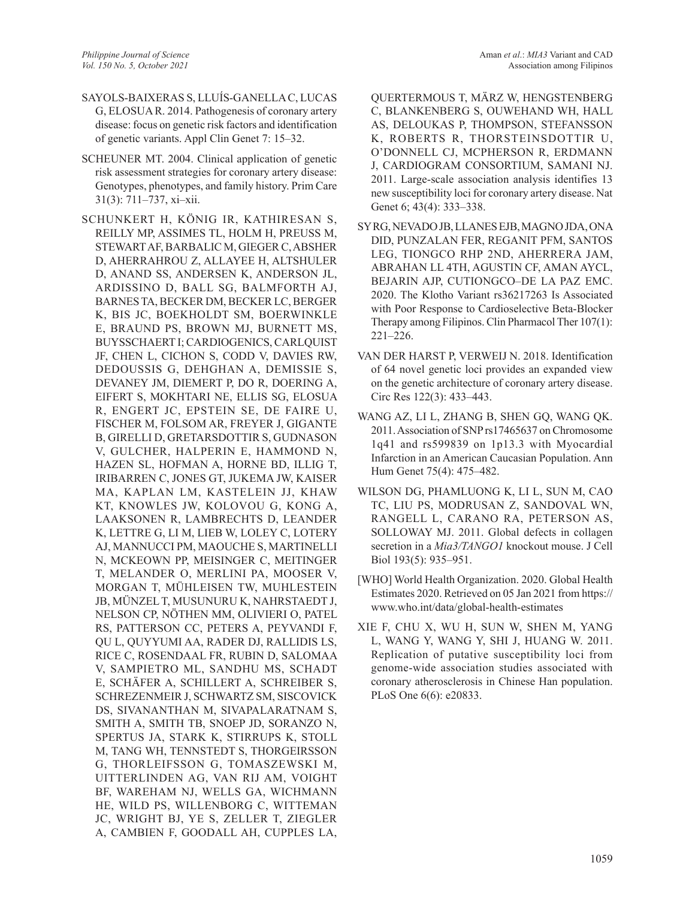- SAYOLS-BAIXERAS S, LLUÍS-GANELLA C, LUCAS G, ELOSUA R. 2014. Pathogenesis of coronary artery disease: focus on genetic risk factors and identification of genetic variants. Appl Clin Genet 7: 15–32.
- SCHEUNER MT. 2004. Clinical application of genetic risk assessment strategies for coronary artery disease: Genotypes, phenotypes, and family history. Prim Care 31(3): 711–737, xi–xii.
- SCHUNKERT H, KÖNIG IR, KATHIRESAN S, REILLY MP, ASSIMES TL, HOLM H, PREUSS M, STEWART AF, BARBALIC M, GIEGER C, ABSHER D, AHERRAHROU Z, ALLAYEE H, ALTSHULER D, ANAND SS, ANDERSEN K, ANDERSON JL, ARDISSINO D, BALL SG, BALMFORTH AJ, BARNES TA, BECKER DM, BECKER LC, BERGER K, BIS JC, BOEKHOLDT SM, BOERWINKLE E, BRAUND PS, BROWN MJ, BURNETT MS, BUYSSCHAERT I; CARDIOGENICS, CARLQUIST JF, CHEN L, CICHON S, CODD V, DAVIES RW, DEDOUSSIS G, DEHGHAN A, DEMISSIE S, DEVANEY JM, DIEMERT P, DO R, DOERING A, EIFERT S, MOKHTARI NE, ELLIS SG, ELOSUA R, ENGERT JC, EPSTEIN SE, DE FAIRE U, FISCHER M, FOLSOM AR, FREYER J, GIGANTE B, GIRELLI D, GRETARSDOTTIR S, GUDNASON V, GULCHER, HALPERIN E, HAMMOND N, HAZEN SL, HOFMAN A, HORNE BD, ILLIG T, IRIBARREN C, JONES GT, JUKEMA JW, KAISER MA, KAPLAN LM, KASTELEIN JJ, KHAW KT, KNOWLES JW, KOLOVOU G, KONG A, LAAKSONEN R, LAMBRECHTS D, LEANDER K, LETTRE G, LI M, LIEB W, LOLEY C, LOTERY AJ, MANNUCCI PM, MAOUCHE S, MARTINELLI N, MCKEOWN PP, MEISINGER C, MEITINGER T, MELANDER O, MERLINI PA, MOOSER V, MORGAN T, MÜHLEISEN TW, MUHLESTEIN JB, MÜNZEL T, MUSUNURU K, NAHRSTAEDT J, NELSON CP, NÖTHEN MM, OLIVIERI O, PATEL RS, PATTERSON CC, PETERS A, PEYVANDI F, QU L, QUYYUMI AA, RADER DJ, RALLIDIS LS, RICE C, ROSENDAAL FR, RUBIN D, SALOMAA V, SAMPIETRO ML, SANDHU MS, SCHADT E, SCHÄFER A, SCHILLERT A, SCHREIBER S, SCHREZENMEIR J, SCHWARTZ SM, SISCOVICK DS, SIVANANTHAN M, SIVAPALARATNAM S, SMITH A, SMITH TB, SNOEP JD, SORANZO N, SPERTUS JA, STARK K, STIRRUPS K, STOLL M, TANG WH, TENNSTEDT S, THORGEIRSSON G, THORLEIFSSON G, TOMASZEWSKI M, UITTERLINDEN AG, VAN RIJ AM, VOIGHT BF, WAREHAM NJ, WELLS GA, WICHMANN HE, WILD PS, WILLENBORG C, WITTEMAN JC, WRIGHT BJ, YE S, ZELLER T, ZIEGLER A, CAMBIEN F, GOODALL AH, CUPPLES LA,

QUERTERMOUS T, MÄRZ W, HENGSTENBERG C, BLANKENBERG S, OUWEHAND WH, HALL AS, DELOUKAS P, THOMPSON, STEFANSSON K, ROBERTS R, THORSTEINSDOTTIR U, O'DONNELL CJ, MCPHERSON R, ERDMANN J, CARDIOGRAM CONSORTIUM, SAMANI NJ. 2011. Large-scale association analysis identifies 13 new susceptibility loci for coronary artery disease. Nat Genet 6; 43(4): 333–338.

- SY RG, NEVADO JB, LLANES EJB, MAGNO JDA, ONA DID, PUNZALAN FER, REGANIT PFM, SANTOS LEG, TIONGCO RHP 2ND, AHERRERA JAM, ABRAHAN LL 4TH, AGUSTIN CF, AMAN AYCL, BEJARIN AJP, CUTIONGCO–DE LA PAZ EMC. 2020. The Klotho Variant rs36217263 Is Associated with Poor Response to Cardioselective Beta-Blocker Therapy among Filipinos. Clin Pharmacol Ther 107(1): 221–226.
- VAN DER HARST P, VERWEIJ N. 2018. Identification of 64 novel genetic loci provides an expanded view on the genetic architecture of coronary artery disease. Circ Res 122(3): 433–443.
- WANG AZ, LI L, ZHANG B, SHEN GQ, WANG QK. 2011. Association of SNP rs17465637 on Chromosome 1q41 and rs599839 on 1p13.3 with Myocardial Infarction in an American Caucasian Population. Ann Hum Genet 75(4): 475–482.
- WILSON DG, PHAMLUONG K, LI L, SUN M, CAO TC, LIU PS, MODRUSAN Z, SANDOVAL WN, RANGELL L, CARANO RA, PETERSON AS, SOLLOWAY MJ. 2011. Global defects in collagen secretion in a *Mia3/TANGO1* knockout mouse. J Cell Biol 193(5): 935–951.
- [WHO] World Health Organization. 2020. Global Health Estimates 2020. Retrieved on 05 Jan 2021 from https:// www.who.int/data/global-health-estimates
- XIE F, CHU X, WU H, SUN W, SHEN M, YANG L, WANG Y, WANG Y, SHI J, HUANG W. 2011. Replication of putative susceptibility loci from genome-wide association studies associated with coronary atherosclerosis in Chinese Han population. PLoS One 6(6): e20833.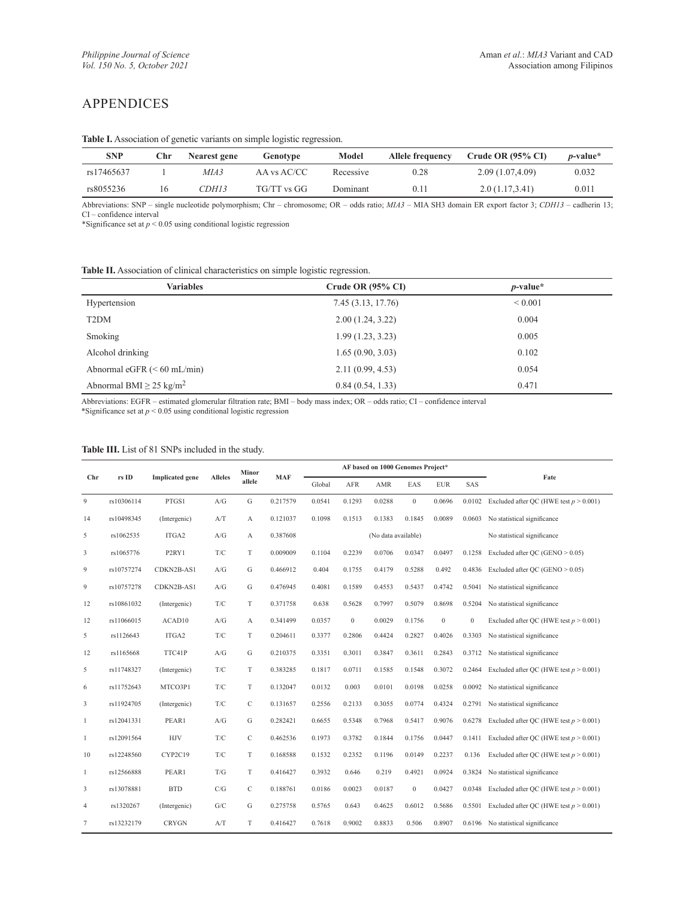## APPENDICES

| <b>SNP</b> | Chr | Nearest gene | Genotype    | Model     | <b>Allele frequency</b> | Crude OR $(95\% \text{ CI})$ | <i>p</i> -value* |
|------------|-----|--------------|-------------|-----------|-------------------------|------------------------------|------------------|
| rs17465637 |     | MIA3         | AA vs AC/CC | Recessive | 0.28                    | 2.09(1.07, 4.09)             | 0.032            |
| rs8055236  | 16  | <i>CDH13</i> | TG/TT vs GG | Dominant  | 0.11                    | 2.0(1.17,3.41)               | 0.011            |

**Table I.** Association of genetic variants on simple logistic regression.

Abbreviations: SNP – single nucleotide polymorphism; Chr – chromosome; OR – odds ratio; *MIA3* – MIA SH3 domain ER export factor 3; *CDH13* – cadherin 13; CI – confidence interval

\*Significance set at *p* < 0.05 using conditional logistic regression

|  |  |  |  |  | Table II. Association of clinical characteristics on simple logistic regression. |
|--|--|--|--|--|----------------------------------------------------------------------------------|
|  |  |  |  |  |                                                                                  |

| <b>Variables</b>                         | Crude OR $(95\%$ CI) | $p$ -value*  |
|------------------------------------------|----------------------|--------------|
| Hypertension                             | 7.45 (3.13, 17.76)   | ${}_{0.001}$ |
| T <sub>2</sub> DM                        | 2.00(1.24, 3.22)     | 0.004        |
| Smoking                                  | 1.99(1.23, 3.23)     | 0.005        |
| Alcohol drinking                         | 1.65(0.90, 3.03)     | 0.102        |
| Abnormal eGFR $(< 60$ mL/min)            | 2.11(0.99, 4.53)     | 0.054        |
| Abnormal BMI $\geq$ 25 kg/m <sup>2</sup> | 0.84(0.54, 1.33)     | 0.471        |

Abbreviations: EGFR – estimated glomerular filtration rate; BMI – body mass index; OR – odds ratio; CI – confidence interval

\*Significance set at  $p < 0.05$  using conditional logistic regression

#### **Table III.** List of 81 SNPs included in the study.

| Chr          |            |                                |                | Minor         |            |        | AF based on 1000 Genomes Project* |                     |              |              |              | Fate                                      |
|--------------|------------|--------------------------------|----------------|---------------|------------|--------|-----------------------------------|---------------------|--------------|--------------|--------------|-------------------------------------------|
|              | rs ID      | <b>Implicated</b> gene         | <b>Alleles</b> | allele        | <b>MAF</b> | Global | <b>AFR</b>                        | <b>AMR</b>          | EAS          | <b>EUR</b>   | <b>SAS</b>   |                                           |
| 9            | rs10306114 | PTGS1                          | A/G            | G             | 0.217579   | 0.0541 | 0.1293                            | 0.0288              | $\mathbf{0}$ | 0.0696       | 0.0102       | Excluded after QC (HWE test $p > 0.001$ ) |
| 14           | rs10498345 | (Intergenic)                   | A/T            | A             | 0.121037   | 0.1098 | 0.1513                            | 0.1383              | 0.1845       | 0.0089       | 0.0603       | No statistical significance               |
| 5            | rs1062535  | ITGA2                          | A/G            | A             | 0.387608   |        |                                   | (No data available) |              |              |              | No statistical significance               |
| 3            | rs1065776  | P <sub>2</sub> RY <sub>1</sub> | T/C            | T             | 0.009009   | 0.1104 | 0.2239                            | 0.0706              | 0.0347       | 0.0497       | 0.1258       | Excluded after QC (GENO $> 0.05$ )        |
| 9            | rs10757274 | CDKN2B-AS1                     | A/G            | G             | 0.466912   | 0.404  | 0.1755                            | 0.4179              | 0.5288       | 0.492        | 0.4836       | Excluded after QC (GENO > 0.05)           |
| 9            | rs10757278 | CDKN2B-AS1                     | A/G            | G             | 0.476945   | 0.4081 | 0.1589                            | 0.4553              | 0.5437       | 0.4742       |              | 0.5041 No statistical significance        |
| 12           | rs10861032 | (Intergenic)                   | T/C            | T             | 0.371758   | 0.638  | 0.5628                            | 0.7997              | 0.5079       | 0.8698       | 0.5204       | No statistical significance               |
| 12           | rs11066015 | ACAD10                         | A/G            | A             | 0.341499   | 0.0357 | $\mathbf{0}$                      | 0.0029              | 0.1756       | $\mathbf{0}$ | $\mathbf{0}$ | Excluded after QC (HWE test $p > 0.001$ ) |
| 5            | rs1126643  | ITGA2                          | T/C            | T             | 0.204611   | 0.3377 | 0.2806                            | 0.4424              | 0.2827       | 0.4026       | 0.3303       | No statistical significance               |
| 12           | rs1165668  | TTC41P                         | A/G            | $\mathbf G$   | 0.210375   | 0.3351 | 0.3011                            | 0.3847              | 0.3611       | 0.2843       |              | 0.3712 No statistical significance        |
| 5            | rs11748327 | (Intergenic)                   | T/C            | T             | 0.383285   | 0.1817 | 0.0711                            | 0.1585              | 0.1548       | 0.3072       | 0.2464       | Excluded after QC (HWE test $p > 0.001$ ) |
| 6            | rs11752643 | MTCO3P1                        | T/C            | T             | 0.132047   | 0.0132 | 0.003                             | 0.0101              | 0.0198       | 0.0258       | 0.0092       | No statistical significance               |
| 3            | rs11924705 | (Intergenic)                   | T/C            | $\mathbf C$   | 0.131657   | 0.2556 | 0.2133                            | 0.3055              | 0.0774       | 0.4324       |              | 0.2791 No statistical significance        |
| $\mathbf{1}$ | rs12041331 | PEAR1                          | A/G            | G             | 0.282421   | 0.6655 | 0.5348                            | 0.7968              | 0.5417       | 0.9076       | 0.6278       | Excluded after QC (HWE test $p > 0.001$ ) |
| $\mathbf{1}$ | rs12091564 | <b>HJV</b>                     | T/C            | C             | 0.462536   | 0.1973 | 0.3782                            | 0.1844              | 0.1756       | 0.0447       | 0.1411       | Excluded after QC (HWE test $p > 0.001$ ) |
| 10           | rs12248560 | CYP2C19                        | T/C            | T             | 0.168588   | 0.1532 | 0.2352                            | 0.1196              | 0.0149       | 0.2237       | 0.136        | Excluded after QC (HWE test $p > 0.001$ ) |
| $\mathbf{1}$ | rs12566888 | PEAR1                          | T/G            | T             | 0.416427   | 0.3932 | 0.646                             | 0.219               | 0.4921       | 0.0924       | 0.3824       | No statistical significance               |
| 3            | rs13078881 | <b>BTD</b>                     | C/G            | $\mathcal{C}$ | 0.188761   | 0.0186 | 0.0023                            | 0.0187              | $\mathbf{0}$ | 0.0427       | 0.0348       | Excluded after QC (HWE test $p > 0.001$ ) |
| 4            | rs1320267  | (Intergenic)                   | G/C            | G             | 0.275758   | 0.5765 | 0.643                             | 0.4625              | 0.6012       | 0.5686       | 0.5501       | Excluded after QC (HWE test $p > 0.001$ ) |
| $\tau$       | rs13232179 | <b>CRYGN</b>                   | A/T            | T             | 0.416427   | 0.7618 | 0.9002                            | 0.8833              | 0.506        | 0.8907       |              | 0.6196 No statistical significance        |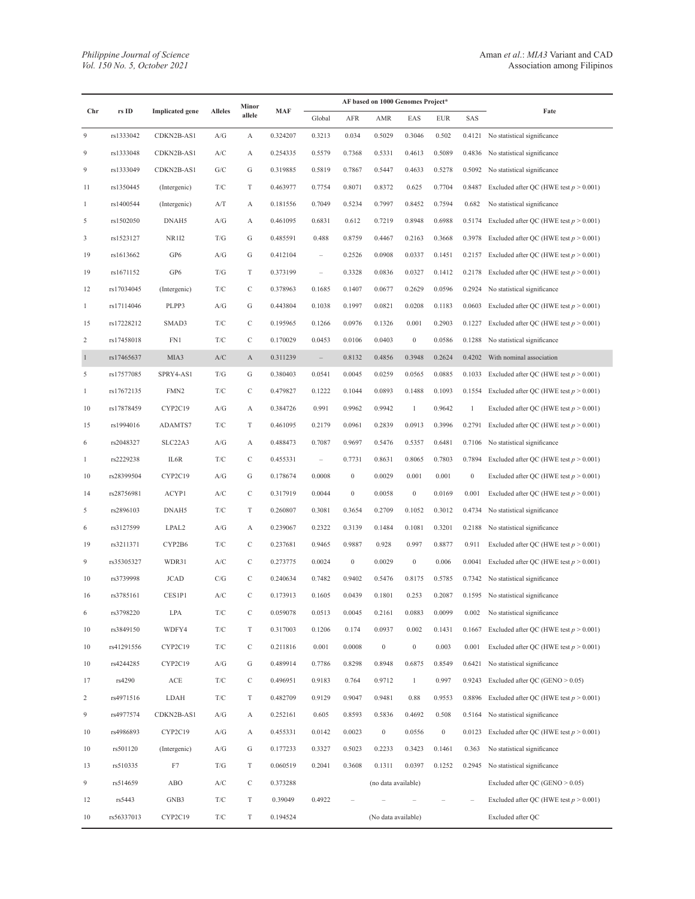| Chr<br>rs ID<br><b>Alleles</b><br><b>MAF</b><br>Fate<br><b>Implicated gene</b><br>allele<br>Global<br>AFR<br>AMR<br>EAS<br><b>EUR</b><br>SAS<br>9<br>rs1333042<br>CDKN2B-AS1<br>0.034<br>A/G<br>A<br>0.324207<br>0.3213<br>0.5029<br>0.3046<br>0.502<br>0.4121<br>No statistical significance<br>9<br>rs1333048<br>CDKN2B-AS1<br>A/C<br>0.254335<br>0.7368<br>0.5331<br>0.5089<br>0.4836 No statistical significance<br>А<br>0.5579<br>0.4613<br>9<br>CDKN2B-AS1<br>G/C<br>G<br>0.319885<br>0.7867<br>0.4633<br>0.5278<br>No statistical significance<br>rs1333049<br>0.5819<br>0.5447<br>0.5092<br>T/C<br>T<br>0.463977<br>0.8071<br>0.8372<br>0.625<br>0.7704<br>0.8487<br>Excluded after QC (HWE test $p > 0.001$ )<br>11<br>rs1350445<br>(Intergenic)<br>0.7754<br>0.5234<br>0.7594<br>1<br>rs1400544<br>(Intergenic)<br>A/T<br>А<br>0.181556<br>0.7049<br>0.7997<br>0.8452<br>0.682<br>No statistical significance<br>5<br>DNAH5<br>0.461095<br>0.612<br>0.7219<br>0.8948<br>0.6988<br>rs1502050<br>A/G<br>А<br>0.6831<br>0.5174<br>Excluded after QC (HWE test $p > 0.001$ )<br>3<br>0.8759<br>rs1523127<br>NR1I2<br>T/G<br>G<br>0.485591<br>0.488<br>0.4467<br>0.2163<br>0.3668<br>0.3978<br>Excluded after QC (HWE test $p > 0.001$ )<br>19<br>GP <sub>6</sub><br>G<br>0.412104<br>0.2526<br>0.0908<br>0.0337<br>0.1451<br>0.2157 Excluded after QC (HWE test $p > 0.001$ )<br>rs1613662<br>A/G<br>$\overline{\phantom{m}}$<br>19<br>GP <sub>6</sub><br>T/G<br>T<br>0.373199<br>0.3328<br>0.0327<br>0.1412<br>rs1671152<br>0.0836<br>0.2178<br>Excluded after QC (HWE test $p > 0.001$ )<br>$\overline{\phantom{m}}$<br>$\mathbf C$<br>12<br>T/C<br>0.378963<br>0.1407<br>0.0677<br>0.2629<br>0.0596<br>0.2924<br>rs17034045<br>(Intergenic)<br>0.1685<br>No statistical significance<br>$\mathbf{1}$<br>PLPP3<br>A/G<br>G<br>0.443804<br>0.1038<br>0.1997<br>0.0821<br>0.0208<br>0.1183<br>0.0603<br>rs17114046<br>Excluded after QC (HWE test $p > 0.001$ )<br>$\mathbf C$<br>0.2903<br>15<br>rs17228212<br>SMAD3<br>T/C<br>0.195965<br>0.1266<br>0.0976<br>0.1326<br>0.001<br>Excluded after QC (HWE test $p > 0.001$ )<br>0.1227<br>$\overline{c}$<br>$\mathbf C$<br>rs17458018<br>FN1<br>T/C<br>0.170029<br>0.0453<br>0.0106<br>0.0403<br>$\boldsymbol{0}$<br>0.0586<br>No statistical significance<br>0.1288<br>$\mathbf{1}$<br>MIA3<br>$\rm A/C$<br>0.311239<br>0.8132<br>0.4856<br>0.3948<br>0.2624<br>0.4202<br>With nominal association<br>rs17465637<br>A<br>$\overline{\phantom{a}}$<br>5<br>0.0045<br>SPRY4-AS1<br>T/G<br>G<br>0.380403<br>0.0541<br>0.0259<br>0.0565<br>0.0885<br>0.1033<br>Excluded after QC (HWE test $p > 0.001$ )<br>rs17577085<br>$\mathbf C$<br>0.1044<br>rs17672135<br>FMN <sub>2</sub><br>T/C<br>0.479827<br>0.1222<br>0.0893<br>0.1488<br>0.1093<br>0.1554<br>Excluded after QC (HWE test $p > 0.001$ )<br>$\mathbf{1}$<br>CYP2C19<br>0.384726<br>0.991<br>0.9962<br>0.9942<br>0.9642<br>Excluded after QC (HWE test $p > 0.001$ )<br>10<br>rs17878459<br>A/G<br>А<br>$\mathbf{1}$<br>1<br>15<br>rs1994016<br>T/C<br>T<br>0.461095<br>0.0961<br>0.2839<br>0.0913<br>0.3996<br>ADAMTS7<br>0.2179<br>0.2791<br>Excluded after QC (HWE test $p > 0.001$ )<br>0.488473<br>0.5357<br>0.6481<br>0.7106<br>6<br>rs2048327<br>SLC22A3<br>A/G<br>А<br>0.7087<br>0.9697<br>0.5476<br>No statistical significance<br>IL6R<br>T/C<br>С<br>0.455331<br>0.7731<br>0.8631<br>0.8065<br>0.7803<br>0.7894<br>Excluded after QC (HWE test $p > 0.001$ )<br>1<br>rs2229238<br>$\overline{\phantom{a}}$<br>$\boldsymbol{0}$<br>0.0029<br>0.001<br>0.001<br>$\boldsymbol{0}$<br>Excluded after QC (HWE test $p > 0.001$ )<br>10<br>rs28399504<br>CYP2C19<br>A/G<br>G<br>0.178674<br>0.0008<br>$\mathbf C$<br>$\boldsymbol{0}$<br>14<br>ACYP1<br>A/C<br>0.317919<br>0.0044<br>0.0058<br>$\boldsymbol{0}$<br>0.0169<br>rs28756981<br>0.001<br>Excluded after QC (HWE test $p > 0.001$ )<br>5<br>DNAH5<br>T<br>0.3012<br>rs2896103<br>T/C<br>0.260807<br>0.3081<br>0.3654<br>0.2709<br>0.1052<br>0.4734<br>No statistical significance<br>rs3127599<br>LPAL <sub>2</sub><br>0.239067<br>0.3139<br>0.1484<br>0.1081<br>0.3201<br>0.2188<br>6<br>A/G<br>А<br>0.2322<br>No statistical significance<br>19<br>CYP2B6<br>С<br>0.237681<br>0.9465<br>0.9887<br>0.928<br>0.997<br>0.8877<br>Excluded after QC (HWE test $p > 0.001$ )<br>rs3211371<br>T/C<br>0.911<br>$\mathbf C$<br>$\boldsymbol{0}$<br>$\boldsymbol{0}$<br>9<br>rs35305327<br>WDR31<br>A/C<br>0.273775<br>0.0024<br>0.0029<br>0.006<br>0.0041<br>Excluded after QC (HWE test $p > 0.001$ )<br>$\mathcal{C}$<br>rs3739998<br><b>JCAD</b><br>C/G<br>0.240634<br>0.7482<br>0.9402<br>0.8175<br>0.5785<br>10<br>0.5476<br>0.7342<br>No statistical significance<br>$\mathcal{C}$<br>rs3785161<br>CES1P1<br>A/C<br>0.173913<br>0.1605<br>0.0439<br>0.1801<br>0.253<br>0.2087<br>16<br>0.1595 No statistical significance<br>$\mathrm{T}/\mathrm{C}$<br>rs3798220<br>LPA<br>$\mathbf C$<br>0.059078<br>0.0513<br>0.0045<br>0.2161<br>0.0883<br>0.0099<br>No statistical significance<br>6<br>0.002<br>WDFY4<br>$\mathrm{T}/\mathrm{C}$<br>$\mathbf T$<br>0.317003<br>0.174<br>0.0937<br>0.002<br>0.1431<br>0.1667 Excluded after QC (HWE test $p > 0.001$ )<br>10<br>rs3849150<br>0.1206<br>$\boldsymbol{0}$<br>$\mathbf C$<br>$\boldsymbol{0}$<br>0.003<br>10<br>rs41291556<br>CYP2C19<br>T/C<br>0.211816<br>0.001<br>0.0008<br>0.001<br>Excluded after QC (HWE test $p > 0.001$ ) |  |  | AF based on 1000 Genomes Project*<br>Minor |  |  |  |  |  |  |  |
|-----------------------------------------------------------------------------------------------------------------------------------------------------------------------------------------------------------------------------------------------------------------------------------------------------------------------------------------------------------------------------------------------------------------------------------------------------------------------------------------------------------------------------------------------------------------------------------------------------------------------------------------------------------------------------------------------------------------------------------------------------------------------------------------------------------------------------------------------------------------------------------------------------------------------------------------------------------------------------------------------------------------------------------------------------------------------------------------------------------------------------------------------------------------------------------------------------------------------------------------------------------------------------------------------------------------------------------------------------------------------------------------------------------------------------------------------------------------------------------------------------------------------------------------------------------------------------------------------------------------------------------------------------------------------------------------------------------------------------------------------------------------------------------------------------------------------------------------------------------------------------------------------------------------------------------------------------------------------------------------------------------------------------------------------------------------------------------------------------------------------------------------------------------------------------------------------------------------------------------------------------------------------------------------------------------------------------------------------------------------------------------------------------------------------------------------------------------------------------------------------------------------------------------------------------------------------------------------------------------------------------------------------------------------------------------------------------------------------------------------------------------------------------------------------------------------------------------------------------------------------------------------------------------------------------------------------------------------------------------------------------------------------------------------------------------------------------------------------------------------------------------------------------------------------------------------------------------------------------------------------------------------------------------------------------------------------------------------------------------------------------------------------------------------------------------------------------------------------------------------------------------------------------------------------------------------------------------------------------------------------------------------------------------------------------------------------------------------------------------------------------------------------------------------------------------------------------------------------------------------------------------------------------------------------------------------------------------------------------------------------------------------------------------------------------------------------------------------------------------------------------------------------------------------------------------------------------------------------------------------------------------------------------------------------------------------------------------------------------------------------------------------------------------------------------------------------------------------------------------------------------------------------------------------------------------------------------------------------------------------------------------------------------------------------------------------------------------------------------------------------------------------------------------------------------------------------------------------------------------------------------------------------------------------------------------------------------------------------------------------------------------------------------------------------------------------------------------------------------------------------------------------------------------------------------------------------------------------------------------------------------------------------------------------------------------------------------------------------------------------------------------------------------------------------------------------------------------------|--|--|--------------------------------------------|--|--|--|--|--|--|--|
|                                                                                                                                                                                                                                                                                                                                                                                                                                                                                                                                                                                                                                                                                                                                                                                                                                                                                                                                                                                                                                                                                                                                                                                                                                                                                                                                                                                                                                                                                                                                                                                                                                                                                                                                                                                                                                                                                                                                                                                                                                                                                                                                                                                                                                                                                                                                                                                                                                                                                                                                                                                                                                                                                                                                                                                                                                                                                                                                                                                                                                                                                                                                                                                                                                                                                                                                                                                                                                                                                                                                                                                                                                                                                                                                                                                                                                                                                                                                                                                                                                                                                                                                                                                                                                                                                                                                                                                                                                                                                                                                                                                                                                                                                                                                                                                                                                                                                                                                                                                                                                                                                                                                                                                                                                                                                                                                                                                                                                                                 |  |  |                                            |  |  |  |  |  |  |  |
|                                                                                                                                                                                                                                                                                                                                                                                                                                                                                                                                                                                                                                                                                                                                                                                                                                                                                                                                                                                                                                                                                                                                                                                                                                                                                                                                                                                                                                                                                                                                                                                                                                                                                                                                                                                                                                                                                                                                                                                                                                                                                                                                                                                                                                                                                                                                                                                                                                                                                                                                                                                                                                                                                                                                                                                                                                                                                                                                                                                                                                                                                                                                                                                                                                                                                                                                                                                                                                                                                                                                                                                                                                                                                                                                                                                                                                                                                                                                                                                                                                                                                                                                                                                                                                                                                                                                                                                                                                                                                                                                                                                                                                                                                                                                                                                                                                                                                                                                                                                                                                                                                                                                                                                                                                                                                                                                                                                                                                                                 |  |  |                                            |  |  |  |  |  |  |  |
|                                                                                                                                                                                                                                                                                                                                                                                                                                                                                                                                                                                                                                                                                                                                                                                                                                                                                                                                                                                                                                                                                                                                                                                                                                                                                                                                                                                                                                                                                                                                                                                                                                                                                                                                                                                                                                                                                                                                                                                                                                                                                                                                                                                                                                                                                                                                                                                                                                                                                                                                                                                                                                                                                                                                                                                                                                                                                                                                                                                                                                                                                                                                                                                                                                                                                                                                                                                                                                                                                                                                                                                                                                                                                                                                                                                                                                                                                                                                                                                                                                                                                                                                                                                                                                                                                                                                                                                                                                                                                                                                                                                                                                                                                                                                                                                                                                                                                                                                                                                                                                                                                                                                                                                                                                                                                                                                                                                                                                                                 |  |  |                                            |  |  |  |  |  |  |  |
|                                                                                                                                                                                                                                                                                                                                                                                                                                                                                                                                                                                                                                                                                                                                                                                                                                                                                                                                                                                                                                                                                                                                                                                                                                                                                                                                                                                                                                                                                                                                                                                                                                                                                                                                                                                                                                                                                                                                                                                                                                                                                                                                                                                                                                                                                                                                                                                                                                                                                                                                                                                                                                                                                                                                                                                                                                                                                                                                                                                                                                                                                                                                                                                                                                                                                                                                                                                                                                                                                                                                                                                                                                                                                                                                                                                                                                                                                                                                                                                                                                                                                                                                                                                                                                                                                                                                                                                                                                                                                                                                                                                                                                                                                                                                                                                                                                                                                                                                                                                                                                                                                                                                                                                                                                                                                                                                                                                                                                                                 |  |  |                                            |  |  |  |  |  |  |  |
|                                                                                                                                                                                                                                                                                                                                                                                                                                                                                                                                                                                                                                                                                                                                                                                                                                                                                                                                                                                                                                                                                                                                                                                                                                                                                                                                                                                                                                                                                                                                                                                                                                                                                                                                                                                                                                                                                                                                                                                                                                                                                                                                                                                                                                                                                                                                                                                                                                                                                                                                                                                                                                                                                                                                                                                                                                                                                                                                                                                                                                                                                                                                                                                                                                                                                                                                                                                                                                                                                                                                                                                                                                                                                                                                                                                                                                                                                                                                                                                                                                                                                                                                                                                                                                                                                                                                                                                                                                                                                                                                                                                                                                                                                                                                                                                                                                                                                                                                                                                                                                                                                                                                                                                                                                                                                                                                                                                                                                                                 |  |  |                                            |  |  |  |  |  |  |  |
|                                                                                                                                                                                                                                                                                                                                                                                                                                                                                                                                                                                                                                                                                                                                                                                                                                                                                                                                                                                                                                                                                                                                                                                                                                                                                                                                                                                                                                                                                                                                                                                                                                                                                                                                                                                                                                                                                                                                                                                                                                                                                                                                                                                                                                                                                                                                                                                                                                                                                                                                                                                                                                                                                                                                                                                                                                                                                                                                                                                                                                                                                                                                                                                                                                                                                                                                                                                                                                                                                                                                                                                                                                                                                                                                                                                                                                                                                                                                                                                                                                                                                                                                                                                                                                                                                                                                                                                                                                                                                                                                                                                                                                                                                                                                                                                                                                                                                                                                                                                                                                                                                                                                                                                                                                                                                                                                                                                                                                                                 |  |  |                                            |  |  |  |  |  |  |  |
|                                                                                                                                                                                                                                                                                                                                                                                                                                                                                                                                                                                                                                                                                                                                                                                                                                                                                                                                                                                                                                                                                                                                                                                                                                                                                                                                                                                                                                                                                                                                                                                                                                                                                                                                                                                                                                                                                                                                                                                                                                                                                                                                                                                                                                                                                                                                                                                                                                                                                                                                                                                                                                                                                                                                                                                                                                                                                                                                                                                                                                                                                                                                                                                                                                                                                                                                                                                                                                                                                                                                                                                                                                                                                                                                                                                                                                                                                                                                                                                                                                                                                                                                                                                                                                                                                                                                                                                                                                                                                                                                                                                                                                                                                                                                                                                                                                                                                                                                                                                                                                                                                                                                                                                                                                                                                                                                                                                                                                                                 |  |  |                                            |  |  |  |  |  |  |  |
|                                                                                                                                                                                                                                                                                                                                                                                                                                                                                                                                                                                                                                                                                                                                                                                                                                                                                                                                                                                                                                                                                                                                                                                                                                                                                                                                                                                                                                                                                                                                                                                                                                                                                                                                                                                                                                                                                                                                                                                                                                                                                                                                                                                                                                                                                                                                                                                                                                                                                                                                                                                                                                                                                                                                                                                                                                                                                                                                                                                                                                                                                                                                                                                                                                                                                                                                                                                                                                                                                                                                                                                                                                                                                                                                                                                                                                                                                                                                                                                                                                                                                                                                                                                                                                                                                                                                                                                                                                                                                                                                                                                                                                                                                                                                                                                                                                                                                                                                                                                                                                                                                                                                                                                                                                                                                                                                                                                                                                                                 |  |  |                                            |  |  |  |  |  |  |  |
|                                                                                                                                                                                                                                                                                                                                                                                                                                                                                                                                                                                                                                                                                                                                                                                                                                                                                                                                                                                                                                                                                                                                                                                                                                                                                                                                                                                                                                                                                                                                                                                                                                                                                                                                                                                                                                                                                                                                                                                                                                                                                                                                                                                                                                                                                                                                                                                                                                                                                                                                                                                                                                                                                                                                                                                                                                                                                                                                                                                                                                                                                                                                                                                                                                                                                                                                                                                                                                                                                                                                                                                                                                                                                                                                                                                                                                                                                                                                                                                                                                                                                                                                                                                                                                                                                                                                                                                                                                                                                                                                                                                                                                                                                                                                                                                                                                                                                                                                                                                                                                                                                                                                                                                                                                                                                                                                                                                                                                                                 |  |  |                                            |  |  |  |  |  |  |  |
|                                                                                                                                                                                                                                                                                                                                                                                                                                                                                                                                                                                                                                                                                                                                                                                                                                                                                                                                                                                                                                                                                                                                                                                                                                                                                                                                                                                                                                                                                                                                                                                                                                                                                                                                                                                                                                                                                                                                                                                                                                                                                                                                                                                                                                                                                                                                                                                                                                                                                                                                                                                                                                                                                                                                                                                                                                                                                                                                                                                                                                                                                                                                                                                                                                                                                                                                                                                                                                                                                                                                                                                                                                                                                                                                                                                                                                                                                                                                                                                                                                                                                                                                                                                                                                                                                                                                                                                                                                                                                                                                                                                                                                                                                                                                                                                                                                                                                                                                                                                                                                                                                                                                                                                                                                                                                                                                                                                                                                                                 |  |  |                                            |  |  |  |  |  |  |  |
|                                                                                                                                                                                                                                                                                                                                                                                                                                                                                                                                                                                                                                                                                                                                                                                                                                                                                                                                                                                                                                                                                                                                                                                                                                                                                                                                                                                                                                                                                                                                                                                                                                                                                                                                                                                                                                                                                                                                                                                                                                                                                                                                                                                                                                                                                                                                                                                                                                                                                                                                                                                                                                                                                                                                                                                                                                                                                                                                                                                                                                                                                                                                                                                                                                                                                                                                                                                                                                                                                                                                                                                                                                                                                                                                                                                                                                                                                                                                                                                                                                                                                                                                                                                                                                                                                                                                                                                                                                                                                                                                                                                                                                                                                                                                                                                                                                                                                                                                                                                                                                                                                                                                                                                                                                                                                                                                                                                                                                                                 |  |  |                                            |  |  |  |  |  |  |  |
|                                                                                                                                                                                                                                                                                                                                                                                                                                                                                                                                                                                                                                                                                                                                                                                                                                                                                                                                                                                                                                                                                                                                                                                                                                                                                                                                                                                                                                                                                                                                                                                                                                                                                                                                                                                                                                                                                                                                                                                                                                                                                                                                                                                                                                                                                                                                                                                                                                                                                                                                                                                                                                                                                                                                                                                                                                                                                                                                                                                                                                                                                                                                                                                                                                                                                                                                                                                                                                                                                                                                                                                                                                                                                                                                                                                                                                                                                                                                                                                                                                                                                                                                                                                                                                                                                                                                                                                                                                                                                                                                                                                                                                                                                                                                                                                                                                                                                                                                                                                                                                                                                                                                                                                                                                                                                                                                                                                                                                                                 |  |  |                                            |  |  |  |  |  |  |  |
|                                                                                                                                                                                                                                                                                                                                                                                                                                                                                                                                                                                                                                                                                                                                                                                                                                                                                                                                                                                                                                                                                                                                                                                                                                                                                                                                                                                                                                                                                                                                                                                                                                                                                                                                                                                                                                                                                                                                                                                                                                                                                                                                                                                                                                                                                                                                                                                                                                                                                                                                                                                                                                                                                                                                                                                                                                                                                                                                                                                                                                                                                                                                                                                                                                                                                                                                                                                                                                                                                                                                                                                                                                                                                                                                                                                                                                                                                                                                                                                                                                                                                                                                                                                                                                                                                                                                                                                                                                                                                                                                                                                                                                                                                                                                                                                                                                                                                                                                                                                                                                                                                                                                                                                                                                                                                                                                                                                                                                                                 |  |  |                                            |  |  |  |  |  |  |  |
|                                                                                                                                                                                                                                                                                                                                                                                                                                                                                                                                                                                                                                                                                                                                                                                                                                                                                                                                                                                                                                                                                                                                                                                                                                                                                                                                                                                                                                                                                                                                                                                                                                                                                                                                                                                                                                                                                                                                                                                                                                                                                                                                                                                                                                                                                                                                                                                                                                                                                                                                                                                                                                                                                                                                                                                                                                                                                                                                                                                                                                                                                                                                                                                                                                                                                                                                                                                                                                                                                                                                                                                                                                                                                                                                                                                                                                                                                                                                                                                                                                                                                                                                                                                                                                                                                                                                                                                                                                                                                                                                                                                                                                                                                                                                                                                                                                                                                                                                                                                                                                                                                                                                                                                                                                                                                                                                                                                                                                                                 |  |  |                                            |  |  |  |  |  |  |  |
|                                                                                                                                                                                                                                                                                                                                                                                                                                                                                                                                                                                                                                                                                                                                                                                                                                                                                                                                                                                                                                                                                                                                                                                                                                                                                                                                                                                                                                                                                                                                                                                                                                                                                                                                                                                                                                                                                                                                                                                                                                                                                                                                                                                                                                                                                                                                                                                                                                                                                                                                                                                                                                                                                                                                                                                                                                                                                                                                                                                                                                                                                                                                                                                                                                                                                                                                                                                                                                                                                                                                                                                                                                                                                                                                                                                                                                                                                                                                                                                                                                                                                                                                                                                                                                                                                                                                                                                                                                                                                                                                                                                                                                                                                                                                                                                                                                                                                                                                                                                                                                                                                                                                                                                                                                                                                                                                                                                                                                                                 |  |  |                                            |  |  |  |  |  |  |  |
|                                                                                                                                                                                                                                                                                                                                                                                                                                                                                                                                                                                                                                                                                                                                                                                                                                                                                                                                                                                                                                                                                                                                                                                                                                                                                                                                                                                                                                                                                                                                                                                                                                                                                                                                                                                                                                                                                                                                                                                                                                                                                                                                                                                                                                                                                                                                                                                                                                                                                                                                                                                                                                                                                                                                                                                                                                                                                                                                                                                                                                                                                                                                                                                                                                                                                                                                                                                                                                                                                                                                                                                                                                                                                                                                                                                                                                                                                                                                                                                                                                                                                                                                                                                                                                                                                                                                                                                                                                                                                                                                                                                                                                                                                                                                                                                                                                                                                                                                                                                                                                                                                                                                                                                                                                                                                                                                                                                                                                                                 |  |  |                                            |  |  |  |  |  |  |  |
|                                                                                                                                                                                                                                                                                                                                                                                                                                                                                                                                                                                                                                                                                                                                                                                                                                                                                                                                                                                                                                                                                                                                                                                                                                                                                                                                                                                                                                                                                                                                                                                                                                                                                                                                                                                                                                                                                                                                                                                                                                                                                                                                                                                                                                                                                                                                                                                                                                                                                                                                                                                                                                                                                                                                                                                                                                                                                                                                                                                                                                                                                                                                                                                                                                                                                                                                                                                                                                                                                                                                                                                                                                                                                                                                                                                                                                                                                                                                                                                                                                                                                                                                                                                                                                                                                                                                                                                                                                                                                                                                                                                                                                                                                                                                                                                                                                                                                                                                                                                                                                                                                                                                                                                                                                                                                                                                                                                                                                                                 |  |  |                                            |  |  |  |  |  |  |  |
|                                                                                                                                                                                                                                                                                                                                                                                                                                                                                                                                                                                                                                                                                                                                                                                                                                                                                                                                                                                                                                                                                                                                                                                                                                                                                                                                                                                                                                                                                                                                                                                                                                                                                                                                                                                                                                                                                                                                                                                                                                                                                                                                                                                                                                                                                                                                                                                                                                                                                                                                                                                                                                                                                                                                                                                                                                                                                                                                                                                                                                                                                                                                                                                                                                                                                                                                                                                                                                                                                                                                                                                                                                                                                                                                                                                                                                                                                                                                                                                                                                                                                                                                                                                                                                                                                                                                                                                                                                                                                                                                                                                                                                                                                                                                                                                                                                                                                                                                                                                                                                                                                                                                                                                                                                                                                                                                                                                                                                                                 |  |  |                                            |  |  |  |  |  |  |  |
|                                                                                                                                                                                                                                                                                                                                                                                                                                                                                                                                                                                                                                                                                                                                                                                                                                                                                                                                                                                                                                                                                                                                                                                                                                                                                                                                                                                                                                                                                                                                                                                                                                                                                                                                                                                                                                                                                                                                                                                                                                                                                                                                                                                                                                                                                                                                                                                                                                                                                                                                                                                                                                                                                                                                                                                                                                                                                                                                                                                                                                                                                                                                                                                                                                                                                                                                                                                                                                                                                                                                                                                                                                                                                                                                                                                                                                                                                                                                                                                                                                                                                                                                                                                                                                                                                                                                                                                                                                                                                                                                                                                                                                                                                                                                                                                                                                                                                                                                                                                                                                                                                                                                                                                                                                                                                                                                                                                                                                                                 |  |  |                                            |  |  |  |  |  |  |  |
|                                                                                                                                                                                                                                                                                                                                                                                                                                                                                                                                                                                                                                                                                                                                                                                                                                                                                                                                                                                                                                                                                                                                                                                                                                                                                                                                                                                                                                                                                                                                                                                                                                                                                                                                                                                                                                                                                                                                                                                                                                                                                                                                                                                                                                                                                                                                                                                                                                                                                                                                                                                                                                                                                                                                                                                                                                                                                                                                                                                                                                                                                                                                                                                                                                                                                                                                                                                                                                                                                                                                                                                                                                                                                                                                                                                                                                                                                                                                                                                                                                                                                                                                                                                                                                                                                                                                                                                                                                                                                                                                                                                                                                                                                                                                                                                                                                                                                                                                                                                                                                                                                                                                                                                                                                                                                                                                                                                                                                                                 |  |  |                                            |  |  |  |  |  |  |  |
|                                                                                                                                                                                                                                                                                                                                                                                                                                                                                                                                                                                                                                                                                                                                                                                                                                                                                                                                                                                                                                                                                                                                                                                                                                                                                                                                                                                                                                                                                                                                                                                                                                                                                                                                                                                                                                                                                                                                                                                                                                                                                                                                                                                                                                                                                                                                                                                                                                                                                                                                                                                                                                                                                                                                                                                                                                                                                                                                                                                                                                                                                                                                                                                                                                                                                                                                                                                                                                                                                                                                                                                                                                                                                                                                                                                                                                                                                                                                                                                                                                                                                                                                                                                                                                                                                                                                                                                                                                                                                                                                                                                                                                                                                                                                                                                                                                                                                                                                                                                                                                                                                                                                                                                                                                                                                                                                                                                                                                                                 |  |  |                                            |  |  |  |  |  |  |  |
|                                                                                                                                                                                                                                                                                                                                                                                                                                                                                                                                                                                                                                                                                                                                                                                                                                                                                                                                                                                                                                                                                                                                                                                                                                                                                                                                                                                                                                                                                                                                                                                                                                                                                                                                                                                                                                                                                                                                                                                                                                                                                                                                                                                                                                                                                                                                                                                                                                                                                                                                                                                                                                                                                                                                                                                                                                                                                                                                                                                                                                                                                                                                                                                                                                                                                                                                                                                                                                                                                                                                                                                                                                                                                                                                                                                                                                                                                                                                                                                                                                                                                                                                                                                                                                                                                                                                                                                                                                                                                                                                                                                                                                                                                                                                                                                                                                                                                                                                                                                                                                                                                                                                                                                                                                                                                                                                                                                                                                                                 |  |  |                                            |  |  |  |  |  |  |  |
|                                                                                                                                                                                                                                                                                                                                                                                                                                                                                                                                                                                                                                                                                                                                                                                                                                                                                                                                                                                                                                                                                                                                                                                                                                                                                                                                                                                                                                                                                                                                                                                                                                                                                                                                                                                                                                                                                                                                                                                                                                                                                                                                                                                                                                                                                                                                                                                                                                                                                                                                                                                                                                                                                                                                                                                                                                                                                                                                                                                                                                                                                                                                                                                                                                                                                                                                                                                                                                                                                                                                                                                                                                                                                                                                                                                                                                                                                                                                                                                                                                                                                                                                                                                                                                                                                                                                                                                                                                                                                                                                                                                                                                                                                                                                                                                                                                                                                                                                                                                                                                                                                                                                                                                                                                                                                                                                                                                                                                                                 |  |  |                                            |  |  |  |  |  |  |  |
|                                                                                                                                                                                                                                                                                                                                                                                                                                                                                                                                                                                                                                                                                                                                                                                                                                                                                                                                                                                                                                                                                                                                                                                                                                                                                                                                                                                                                                                                                                                                                                                                                                                                                                                                                                                                                                                                                                                                                                                                                                                                                                                                                                                                                                                                                                                                                                                                                                                                                                                                                                                                                                                                                                                                                                                                                                                                                                                                                                                                                                                                                                                                                                                                                                                                                                                                                                                                                                                                                                                                                                                                                                                                                                                                                                                                                                                                                                                                                                                                                                                                                                                                                                                                                                                                                                                                                                                                                                                                                                                                                                                                                                                                                                                                                                                                                                                                                                                                                                                                                                                                                                                                                                                                                                                                                                                                                                                                                                                                 |  |  |                                            |  |  |  |  |  |  |  |
|                                                                                                                                                                                                                                                                                                                                                                                                                                                                                                                                                                                                                                                                                                                                                                                                                                                                                                                                                                                                                                                                                                                                                                                                                                                                                                                                                                                                                                                                                                                                                                                                                                                                                                                                                                                                                                                                                                                                                                                                                                                                                                                                                                                                                                                                                                                                                                                                                                                                                                                                                                                                                                                                                                                                                                                                                                                                                                                                                                                                                                                                                                                                                                                                                                                                                                                                                                                                                                                                                                                                                                                                                                                                                                                                                                                                                                                                                                                                                                                                                                                                                                                                                                                                                                                                                                                                                                                                                                                                                                                                                                                                                                                                                                                                                                                                                                                                                                                                                                                                                                                                                                                                                                                                                                                                                                                                                                                                                                                                 |  |  |                                            |  |  |  |  |  |  |  |
|                                                                                                                                                                                                                                                                                                                                                                                                                                                                                                                                                                                                                                                                                                                                                                                                                                                                                                                                                                                                                                                                                                                                                                                                                                                                                                                                                                                                                                                                                                                                                                                                                                                                                                                                                                                                                                                                                                                                                                                                                                                                                                                                                                                                                                                                                                                                                                                                                                                                                                                                                                                                                                                                                                                                                                                                                                                                                                                                                                                                                                                                                                                                                                                                                                                                                                                                                                                                                                                                                                                                                                                                                                                                                                                                                                                                                                                                                                                                                                                                                                                                                                                                                                                                                                                                                                                                                                                                                                                                                                                                                                                                                                                                                                                                                                                                                                                                                                                                                                                                                                                                                                                                                                                                                                                                                                                                                                                                                                                                 |  |  |                                            |  |  |  |  |  |  |  |
|                                                                                                                                                                                                                                                                                                                                                                                                                                                                                                                                                                                                                                                                                                                                                                                                                                                                                                                                                                                                                                                                                                                                                                                                                                                                                                                                                                                                                                                                                                                                                                                                                                                                                                                                                                                                                                                                                                                                                                                                                                                                                                                                                                                                                                                                                                                                                                                                                                                                                                                                                                                                                                                                                                                                                                                                                                                                                                                                                                                                                                                                                                                                                                                                                                                                                                                                                                                                                                                                                                                                                                                                                                                                                                                                                                                                                                                                                                                                                                                                                                                                                                                                                                                                                                                                                                                                                                                                                                                                                                                                                                                                                                                                                                                                                                                                                                                                                                                                                                                                                                                                                                                                                                                                                                                                                                                                                                                                                                                                 |  |  |                                            |  |  |  |  |  |  |  |
|                                                                                                                                                                                                                                                                                                                                                                                                                                                                                                                                                                                                                                                                                                                                                                                                                                                                                                                                                                                                                                                                                                                                                                                                                                                                                                                                                                                                                                                                                                                                                                                                                                                                                                                                                                                                                                                                                                                                                                                                                                                                                                                                                                                                                                                                                                                                                                                                                                                                                                                                                                                                                                                                                                                                                                                                                                                                                                                                                                                                                                                                                                                                                                                                                                                                                                                                                                                                                                                                                                                                                                                                                                                                                                                                                                                                                                                                                                                                                                                                                                                                                                                                                                                                                                                                                                                                                                                                                                                                                                                                                                                                                                                                                                                                                                                                                                                                                                                                                                                                                                                                                                                                                                                                                                                                                                                                                                                                                                                                 |  |  |                                            |  |  |  |  |  |  |  |
|                                                                                                                                                                                                                                                                                                                                                                                                                                                                                                                                                                                                                                                                                                                                                                                                                                                                                                                                                                                                                                                                                                                                                                                                                                                                                                                                                                                                                                                                                                                                                                                                                                                                                                                                                                                                                                                                                                                                                                                                                                                                                                                                                                                                                                                                                                                                                                                                                                                                                                                                                                                                                                                                                                                                                                                                                                                                                                                                                                                                                                                                                                                                                                                                                                                                                                                                                                                                                                                                                                                                                                                                                                                                                                                                                                                                                                                                                                                                                                                                                                                                                                                                                                                                                                                                                                                                                                                                                                                                                                                                                                                                                                                                                                                                                                                                                                                                                                                                                                                                                                                                                                                                                                                                                                                                                                                                                                                                                                                                 |  |  |                                            |  |  |  |  |  |  |  |
|                                                                                                                                                                                                                                                                                                                                                                                                                                                                                                                                                                                                                                                                                                                                                                                                                                                                                                                                                                                                                                                                                                                                                                                                                                                                                                                                                                                                                                                                                                                                                                                                                                                                                                                                                                                                                                                                                                                                                                                                                                                                                                                                                                                                                                                                                                                                                                                                                                                                                                                                                                                                                                                                                                                                                                                                                                                                                                                                                                                                                                                                                                                                                                                                                                                                                                                                                                                                                                                                                                                                                                                                                                                                                                                                                                                                                                                                                                                                                                                                                                                                                                                                                                                                                                                                                                                                                                                                                                                                                                                                                                                                                                                                                                                                                                                                                                                                                                                                                                                                                                                                                                                                                                                                                                                                                                                                                                                                                                                                 |  |  |                                            |  |  |  |  |  |  |  |
|                                                                                                                                                                                                                                                                                                                                                                                                                                                                                                                                                                                                                                                                                                                                                                                                                                                                                                                                                                                                                                                                                                                                                                                                                                                                                                                                                                                                                                                                                                                                                                                                                                                                                                                                                                                                                                                                                                                                                                                                                                                                                                                                                                                                                                                                                                                                                                                                                                                                                                                                                                                                                                                                                                                                                                                                                                                                                                                                                                                                                                                                                                                                                                                                                                                                                                                                                                                                                                                                                                                                                                                                                                                                                                                                                                                                                                                                                                                                                                                                                                                                                                                                                                                                                                                                                                                                                                                                                                                                                                                                                                                                                                                                                                                                                                                                                                                                                                                                                                                                                                                                                                                                                                                                                                                                                                                                                                                                                                                                 |  |  |                                            |  |  |  |  |  |  |  |
|                                                                                                                                                                                                                                                                                                                                                                                                                                                                                                                                                                                                                                                                                                                                                                                                                                                                                                                                                                                                                                                                                                                                                                                                                                                                                                                                                                                                                                                                                                                                                                                                                                                                                                                                                                                                                                                                                                                                                                                                                                                                                                                                                                                                                                                                                                                                                                                                                                                                                                                                                                                                                                                                                                                                                                                                                                                                                                                                                                                                                                                                                                                                                                                                                                                                                                                                                                                                                                                                                                                                                                                                                                                                                                                                                                                                                                                                                                                                                                                                                                                                                                                                                                                                                                                                                                                                                                                                                                                                                                                                                                                                                                                                                                                                                                                                                                                                                                                                                                                                                                                                                                                                                                                                                                                                                                                                                                                                                                                                 |  |  |                                            |  |  |  |  |  |  |  |
| G<br>0.489914<br>10<br>rs4244285<br>CYP2C19<br>A/G<br>0.7786<br>0.8298<br>0.8948<br>0.6875<br>0.8549<br>0.6421 No statistical significance                                                                                                                                                                                                                                                                                                                                                                                                                                                                                                                                                                                                                                                                                                                                                                                                                                                                                                                                                                                                                                                                                                                                                                                                                                                                                                                                                                                                                                                                                                                                                                                                                                                                                                                                                                                                                                                                                                                                                                                                                                                                                                                                                                                                                                                                                                                                                                                                                                                                                                                                                                                                                                                                                                                                                                                                                                                                                                                                                                                                                                                                                                                                                                                                                                                                                                                                                                                                                                                                                                                                                                                                                                                                                                                                                                                                                                                                                                                                                                                                                                                                                                                                                                                                                                                                                                                                                                                                                                                                                                                                                                                                                                                                                                                                                                                                                                                                                                                                                                                                                                                                                                                                                                                                                                                                                                                      |  |  |                                            |  |  |  |  |  |  |  |
| $\mathbf C$<br>0.997<br>17<br>rs4290<br>ACE<br>T/C<br>0.496951<br>0.9183<br>0.764<br>0.9712<br>1<br>0.9243<br>Excluded after QC (GENO $> 0.05$ )                                                                                                                                                                                                                                                                                                                                                                                                                                                                                                                                                                                                                                                                                                                                                                                                                                                                                                                                                                                                                                                                                                                                                                                                                                                                                                                                                                                                                                                                                                                                                                                                                                                                                                                                                                                                                                                                                                                                                                                                                                                                                                                                                                                                                                                                                                                                                                                                                                                                                                                                                                                                                                                                                                                                                                                                                                                                                                                                                                                                                                                                                                                                                                                                                                                                                                                                                                                                                                                                                                                                                                                                                                                                                                                                                                                                                                                                                                                                                                                                                                                                                                                                                                                                                                                                                                                                                                                                                                                                                                                                                                                                                                                                                                                                                                                                                                                                                                                                                                                                                                                                                                                                                                                                                                                                                                                |  |  |                                            |  |  |  |  |  |  |  |
| $\mathrm{T}/\mathrm{C}$<br>T<br>0.482709<br>0.9047<br>0.9481<br>0.9553<br>2<br>rs4971516<br>LDAH<br>0.9129<br>0.88<br>0.8896 Excluded after QC (HWE test $p > 0.001$ )                                                                                                                                                                                                                                                                                                                                                                                                                                                                                                                                                                                                                                                                                                                                                                                                                                                                                                                                                                                                                                                                                                                                                                                                                                                                                                                                                                                                                                                                                                                                                                                                                                                                                                                                                                                                                                                                                                                                                                                                                                                                                                                                                                                                                                                                                                                                                                                                                                                                                                                                                                                                                                                                                                                                                                                                                                                                                                                                                                                                                                                                                                                                                                                                                                                                                                                                                                                                                                                                                                                                                                                                                                                                                                                                                                                                                                                                                                                                                                                                                                                                                                                                                                                                                                                                                                                                                                                                                                                                                                                                                                                                                                                                                                                                                                                                                                                                                                                                                                                                                                                                                                                                                                                                                                                                                          |  |  |                                            |  |  |  |  |  |  |  |
| 9<br>rs4977574<br>CDKN2B-AS1<br>A/G<br>0.252161<br>0.605<br>0.8593<br>0.4692<br>0.508<br>No statistical significance<br>А<br>0.5836<br>0.5164                                                                                                                                                                                                                                                                                                                                                                                                                                                                                                                                                                                                                                                                                                                                                                                                                                                                                                                                                                                                                                                                                                                                                                                                                                                                                                                                                                                                                                                                                                                                                                                                                                                                                                                                                                                                                                                                                                                                                                                                                                                                                                                                                                                                                                                                                                                                                                                                                                                                                                                                                                                                                                                                                                                                                                                                                                                                                                                                                                                                                                                                                                                                                                                                                                                                                                                                                                                                                                                                                                                                                                                                                                                                                                                                                                                                                                                                                                                                                                                                                                                                                                                                                                                                                                                                                                                                                                                                                                                                                                                                                                                                                                                                                                                                                                                                                                                                                                                                                                                                                                                                                                                                                                                                                                                                                                                   |  |  |                                            |  |  |  |  |  |  |  |
| $\boldsymbol{0}$<br>$\boldsymbol{0}$<br>10<br>rs4986893<br>CYP2C19<br>A/G<br>0.455331<br>0.0142<br>0.0023<br>0.0556<br>0.0123<br>Excluded after QC (HWE test $p > 0.001$ )<br>А                                                                                                                                                                                                                                                                                                                                                                                                                                                                                                                                                                                                                                                                                                                                                                                                                                                                                                                                                                                                                                                                                                                                                                                                                                                                                                                                                                                                                                                                                                                                                                                                                                                                                                                                                                                                                                                                                                                                                                                                                                                                                                                                                                                                                                                                                                                                                                                                                                                                                                                                                                                                                                                                                                                                                                                                                                                                                                                                                                                                                                                                                                                                                                                                                                                                                                                                                                                                                                                                                                                                                                                                                                                                                                                                                                                                                                                                                                                                                                                                                                                                                                                                                                                                                                                                                                                                                                                                                                                                                                                                                                                                                                                                                                                                                                                                                                                                                                                                                                                                                                                                                                                                                                                                                                                                                 |  |  |                                            |  |  |  |  |  |  |  |
| 10<br>rs501120<br>(Intergenic)<br>A/G<br>G<br>0.177233<br>0.3327<br>0.5023<br>0.2233<br>0.1461<br>No statistical significance<br>0.3423<br>0.363                                                                                                                                                                                                                                                                                                                                                                                                                                                                                                                                                                                                                                                                                                                                                                                                                                                                                                                                                                                                                                                                                                                                                                                                                                                                                                                                                                                                                                                                                                                                                                                                                                                                                                                                                                                                                                                                                                                                                                                                                                                                                                                                                                                                                                                                                                                                                                                                                                                                                                                                                                                                                                                                                                                                                                                                                                                                                                                                                                                                                                                                                                                                                                                                                                                                                                                                                                                                                                                                                                                                                                                                                                                                                                                                                                                                                                                                                                                                                                                                                                                                                                                                                                                                                                                                                                                                                                                                                                                                                                                                                                                                                                                                                                                                                                                                                                                                                                                                                                                                                                                                                                                                                                                                                                                                                                                |  |  |                                            |  |  |  |  |  |  |  |
| F7<br>T<br>13<br>rs510335<br>T/G<br>0.060519<br>0.2041<br>0.3608<br>0.1311<br>0.0397<br>0.1252<br>0.2945 No statistical significance                                                                                                                                                                                                                                                                                                                                                                                                                                                                                                                                                                                                                                                                                                                                                                                                                                                                                                                                                                                                                                                                                                                                                                                                                                                                                                                                                                                                                                                                                                                                                                                                                                                                                                                                                                                                                                                                                                                                                                                                                                                                                                                                                                                                                                                                                                                                                                                                                                                                                                                                                                                                                                                                                                                                                                                                                                                                                                                                                                                                                                                                                                                                                                                                                                                                                                                                                                                                                                                                                                                                                                                                                                                                                                                                                                                                                                                                                                                                                                                                                                                                                                                                                                                                                                                                                                                                                                                                                                                                                                                                                                                                                                                                                                                                                                                                                                                                                                                                                                                                                                                                                                                                                                                                                                                                                                                            |  |  |                                            |  |  |  |  |  |  |  |
| 9<br>$\mathbf C$<br>rs514659<br>ABO<br>A/C<br>0.373288<br>(no data available)<br>Excluded after QC (GENO $> 0.05$ )                                                                                                                                                                                                                                                                                                                                                                                                                                                                                                                                                                                                                                                                                                                                                                                                                                                                                                                                                                                                                                                                                                                                                                                                                                                                                                                                                                                                                                                                                                                                                                                                                                                                                                                                                                                                                                                                                                                                                                                                                                                                                                                                                                                                                                                                                                                                                                                                                                                                                                                                                                                                                                                                                                                                                                                                                                                                                                                                                                                                                                                                                                                                                                                                                                                                                                                                                                                                                                                                                                                                                                                                                                                                                                                                                                                                                                                                                                                                                                                                                                                                                                                                                                                                                                                                                                                                                                                                                                                                                                                                                                                                                                                                                                                                                                                                                                                                                                                                                                                                                                                                                                                                                                                                                                                                                                                                             |  |  |                                            |  |  |  |  |  |  |  |
| 12<br>GNB3<br>$\mathrm{T}/\mathrm{C}$<br>T<br>0.4922<br>rs5443<br>0.39049<br>Excluded after QC (HWE test $p > 0.001$ )                                                                                                                                                                                                                                                                                                                                                                                                                                                                                                                                                                                                                                                                                                                                                                                                                                                                                                                                                                                                                                                                                                                                                                                                                                                                                                                                                                                                                                                                                                                                                                                                                                                                                                                                                                                                                                                                                                                                                                                                                                                                                                                                                                                                                                                                                                                                                                                                                                                                                                                                                                                                                                                                                                                                                                                                                                                                                                                                                                                                                                                                                                                                                                                                                                                                                                                                                                                                                                                                                                                                                                                                                                                                                                                                                                                                                                                                                                                                                                                                                                                                                                                                                                                                                                                                                                                                                                                                                                                                                                                                                                                                                                                                                                                                                                                                                                                                                                                                                                                                                                                                                                                                                                                                                                                                                                                                          |  |  |                                            |  |  |  |  |  |  |  |
| T<br>10<br>rs56337013<br>CYP2C19<br>T/C<br>0.194524<br>(No data available)<br>Excluded after QC                                                                                                                                                                                                                                                                                                                                                                                                                                                                                                                                                                                                                                                                                                                                                                                                                                                                                                                                                                                                                                                                                                                                                                                                                                                                                                                                                                                                                                                                                                                                                                                                                                                                                                                                                                                                                                                                                                                                                                                                                                                                                                                                                                                                                                                                                                                                                                                                                                                                                                                                                                                                                                                                                                                                                                                                                                                                                                                                                                                                                                                                                                                                                                                                                                                                                                                                                                                                                                                                                                                                                                                                                                                                                                                                                                                                                                                                                                                                                                                                                                                                                                                                                                                                                                                                                                                                                                                                                                                                                                                                                                                                                                                                                                                                                                                                                                                                                                                                                                                                                                                                                                                                                                                                                                                                                                                                                                 |  |  |                                            |  |  |  |  |  |  |  |